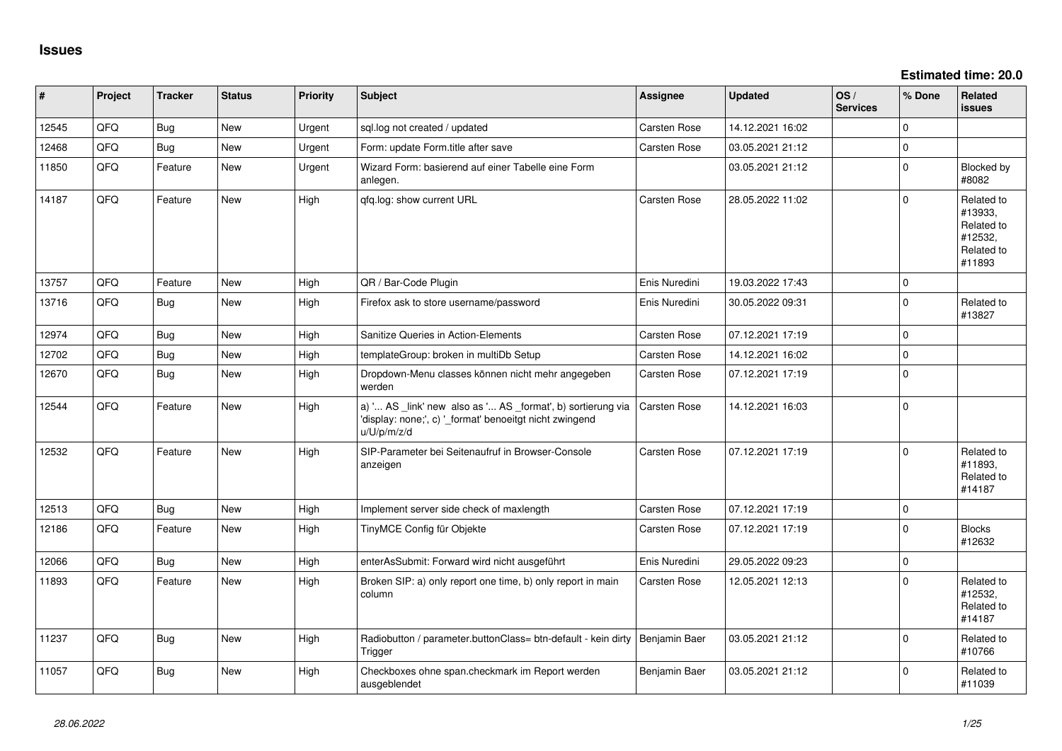**Estimated time: 20.0**

| $\vert$ # | Project | <b>Tracker</b> | <b>Status</b> | <b>Priority</b> | <b>Subject</b>                                                                                                                        | Assignee            | <b>Updated</b>   | OS/<br><b>Services</b> | % Done      | Related<br><b>issues</b>                                               |
|-----------|---------|----------------|---------------|-----------------|---------------------------------------------------------------------------------------------------------------------------------------|---------------------|------------------|------------------------|-------------|------------------------------------------------------------------------|
| 12545     | QFQ     | Bug            | New           | Urgent          | sql.log not created / updated                                                                                                         | Carsten Rose        | 14.12.2021 16:02 |                        | $\Omega$    |                                                                        |
| 12468     | QFQ     | <b>Bug</b>     | New           | Urgent          | Form: update Form.title after save                                                                                                    | Carsten Rose        | 03.05.2021 21:12 |                        | $\pmb{0}$   |                                                                        |
| 11850     | QFQ     | Feature        | New           | Urgent          | Wizard Form: basierend auf einer Tabelle eine Form<br>anlegen.                                                                        |                     | 03.05.2021 21:12 |                        | $\mathbf 0$ | Blocked by<br>#8082                                                    |
| 14187     | QFQ     | Feature        | <b>New</b>    | High            | qfq.log: show current URL                                                                                                             | <b>Carsten Rose</b> | 28.05.2022 11:02 |                        | $\Omega$    | Related to<br>#13933,<br>Related to<br>#12532,<br>Related to<br>#11893 |
| 13757     | QFQ     | Feature        | New           | High            | QR / Bar-Code Plugin                                                                                                                  | Enis Nuredini       | 19.03.2022 17:43 |                        | $\mathbf 0$ |                                                                        |
| 13716     | QFQ     | <b>Bug</b>     | New           | High            | Firefox ask to store username/password                                                                                                | Enis Nuredini       | 30.05.2022 09:31 |                        | $\mathbf 0$ | Related to<br>#13827                                                   |
| 12974     | QFQ     | Bug            | New           | High            | Sanitize Queries in Action-Elements                                                                                                   | <b>Carsten Rose</b> | 07.12.2021 17:19 |                        | $\pmb{0}$   |                                                                        |
| 12702     | QFQ     | <b>Bug</b>     | New           | High            | templateGroup: broken in multiDb Setup                                                                                                | Carsten Rose        | 14.12.2021 16:02 |                        | $\mathbf 0$ |                                                                        |
| 12670     | QFQ     | <b>Bug</b>     | New           | High            | Dropdown-Menu classes können nicht mehr angegeben<br>werden                                                                           | Carsten Rose        | 07.12.2021 17:19 |                        | $\pmb{0}$   |                                                                        |
| 12544     | QFQ     | Feature        | New           | High            | a) ' AS _link' new also as ' AS _format', b) sortierung via<br>'display: none;', c) '_format' benoeitgt nicht zwingend<br>u/U/p/m/z/d | Carsten Rose        | 14.12.2021 16:03 |                        | $\pmb{0}$   |                                                                        |
| 12532     | QFQ     | Feature        | <b>New</b>    | High            | SIP-Parameter bei Seitenaufruf in Browser-Console<br>anzeigen                                                                         | Carsten Rose        | 07.12.2021 17:19 |                        | $\Omega$    | Related to<br>#11893,<br>Related to<br>#14187                          |
| 12513     | QFQ     | <b>Bug</b>     | <b>New</b>    | High            | Implement server side check of maxlength                                                                                              | Carsten Rose        | 07.12.2021 17:19 |                        | $\mathbf 0$ |                                                                        |
| 12186     | QFQ     | Feature        | New           | High            | TinyMCE Config für Objekte                                                                                                            | <b>Carsten Rose</b> | 07.12.2021 17:19 |                        | $\mathbf 0$ | <b>Blocks</b><br>#12632                                                |
| 12066     | QFQ     | Bug            | New           | High            | enterAsSubmit: Forward wird nicht ausgeführt                                                                                          | Enis Nuredini       | 29.05.2022 09:23 |                        | $\pmb{0}$   |                                                                        |
| 11893     | QFQ     | Feature        | New           | High            | Broken SIP: a) only report one time, b) only report in main<br>column                                                                 | Carsten Rose        | 12.05.2021 12:13 |                        | $\mathbf 0$ | Related to<br>#12532,<br>Related to<br>#14187                          |
| 11237     | QFQ     | <b>Bug</b>     | New           | High            | Radiobutton / parameter.buttonClass= btn-default - kein dirty<br>Trigger                                                              | Benjamin Baer       | 03.05.2021 21:12 |                        | $\mathbf 0$ | Related to<br>#10766                                                   |
| 11057     | QFQ     | Bug            | New           | High            | Checkboxes ohne span.checkmark im Report werden<br>ausgeblendet                                                                       | Benjamin Baer       | 03.05.2021 21:12 |                        | $\Omega$    | Related to<br>#11039                                                   |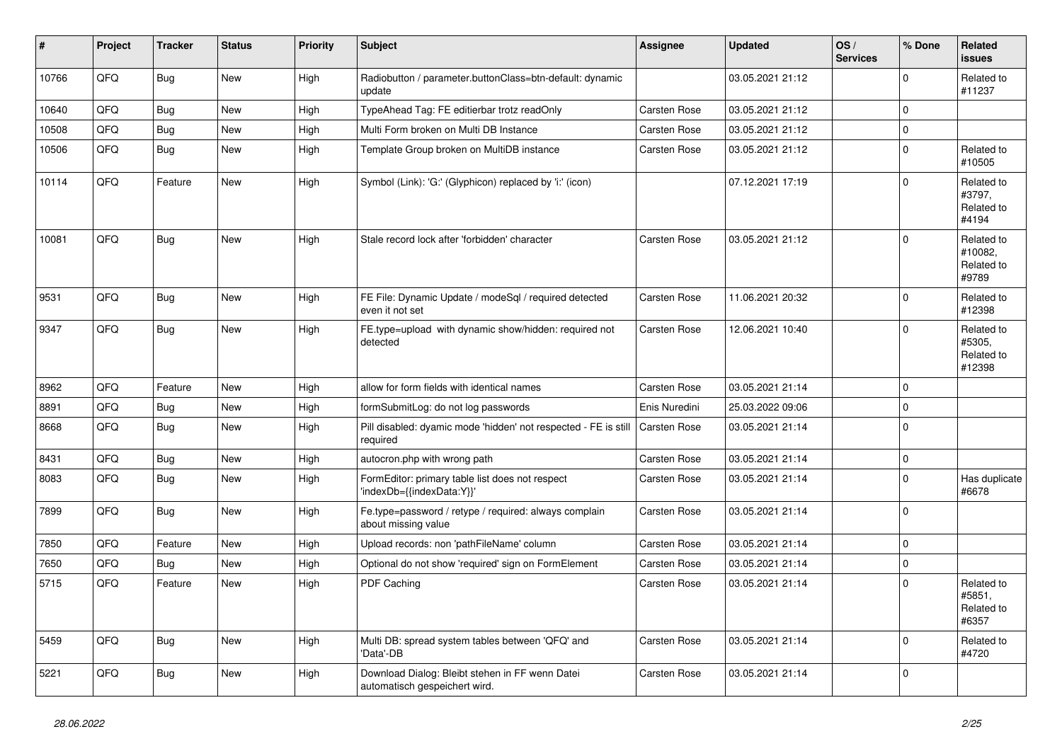| #     | <b>Project</b> | <b>Tracker</b> | <b>Status</b> | <b>Priority</b> | <b>Subject</b>                                                                   | Assignee            | <b>Updated</b>   | OS/<br><b>Services</b> | % Done         | Related<br><b>issues</b>                     |
|-------|----------------|----------------|---------------|-----------------|----------------------------------------------------------------------------------|---------------------|------------------|------------------------|----------------|----------------------------------------------|
| 10766 | QFQ            | <b>Bug</b>     | <b>New</b>    | High            | Radiobutton / parameter.buttonClass=btn-default: dynamic<br>update               |                     | 03.05.2021 21:12 |                        | 0              | Related to<br>#11237                         |
| 10640 | QFQ            | <b>Bug</b>     | <b>New</b>    | High            | TypeAhead Tag: FE editierbar trotz readOnly                                      | Carsten Rose        | 03.05.2021 21:12 |                        | $\Omega$       |                                              |
| 10508 | QFQ            | <b>Bug</b>     | <b>New</b>    | High            | Multi Form broken on Multi DB Instance                                           | Carsten Rose        | 03.05.2021 21:12 |                        | $\Omega$       |                                              |
| 10506 | QFQ            | <b>Bug</b>     | <b>New</b>    | High            | Template Group broken on MultiDB instance                                        | Carsten Rose        | 03.05.2021 21:12 |                        | $\Omega$       | Related to<br>#10505                         |
| 10114 | QFQ            | Feature        | <b>New</b>    | High            | Symbol (Link): 'G:' (Glyphicon) replaced by 'i:' (icon)                          |                     | 07.12.2021 17:19 |                        | 0              | Related to<br>#3797,<br>Related to<br>#4194  |
| 10081 | QFQ            | <b>Bug</b>     | <b>New</b>    | High            | Stale record lock after 'forbidden' character                                    | Carsten Rose        | 03.05.2021 21:12 |                        | $\Omega$       | Related to<br>#10082,<br>Related to<br>#9789 |
| 9531  | QFQ            | <b>Bug</b>     | <b>New</b>    | High            | FE File: Dynamic Update / modeSql / required detected<br>even it not set         | Carsten Rose        | 11.06.2021 20:32 |                        | 0              | Related to<br>#12398                         |
| 9347  | QFQ            | Bug            | <b>New</b>    | High            | FE.type=upload with dynamic show/hidden: required not<br>detected                | Carsten Rose        | 12.06.2021 10:40 |                        | $\overline{0}$ | Related to<br>#5305,<br>Related to<br>#12398 |
| 8962  | QFQ            | Feature        | <b>New</b>    | High            | allow for form fields with identical names                                       | Carsten Rose        | 03.05.2021 21:14 |                        | 0              |                                              |
| 8891  | QFQ            | <b>Bug</b>     | New           | High            | formSubmitLog: do not log passwords                                              | Enis Nuredini       | 25.03.2022 09:06 |                        | $\Omega$       |                                              |
| 8668  | QFQ            | <b>Bug</b>     | New           | High            | Pill disabled: dyamic mode 'hidden' not respected - FE is still<br>required      | Carsten Rose        | 03.05.2021 21:14 |                        | $\Omega$       |                                              |
| 8431  | QFQ            | <b>Bug</b>     | <b>New</b>    | High            | autocron.php with wrong path                                                     | Carsten Rose        | 03.05.2021 21:14 |                        | 0              |                                              |
| 8083  | QFQ            | Bug            | <b>New</b>    | High            | FormEditor: primary table list does not respect<br>'indexDb={{indexData:Y}}'     | <b>Carsten Rose</b> | 03.05.2021 21:14 |                        | 0              | Has duplicate<br>#6678                       |
| 7899  | QFQ            | Bug            | <b>New</b>    | High            | Fe.type=password / retype / required: always complain<br>about missing value     | Carsten Rose        | 03.05.2021 21:14 |                        | 0              |                                              |
| 7850  | QFQ            | Feature        | <b>New</b>    | High            | Upload records: non 'pathFileName' column                                        | Carsten Rose        | 03.05.2021 21:14 |                        | 0              |                                              |
| 7650  | QFQ            | <b>Bug</b>     | New           | High            | Optional do not show 'required' sign on FormElement                              | Carsten Rose        | 03.05.2021 21:14 |                        | 0              |                                              |
| 5715  | QFQ            | Feature        | <b>New</b>    | High            | PDF Caching                                                                      | Carsten Rose        | 03.05.2021 21:14 |                        | $\Omega$       | Related to<br>#5851.<br>Related to<br>#6357  |
| 5459  | QFQ            | <b>Bug</b>     | <b>New</b>    | High            | Multi DB: spread system tables between 'QFQ' and<br>'Data'-DB                    | Carsten Rose        | 03.05.2021 21:14 |                        | $\Omega$       | Related to<br>#4720                          |
| 5221  | QFQ            | <b>Bug</b>     | <b>New</b>    | High            | Download Dialog: Bleibt stehen in FF wenn Datei<br>automatisch gespeichert wird. | <b>Carsten Rose</b> | 03.05.2021 21:14 |                        | 0              |                                              |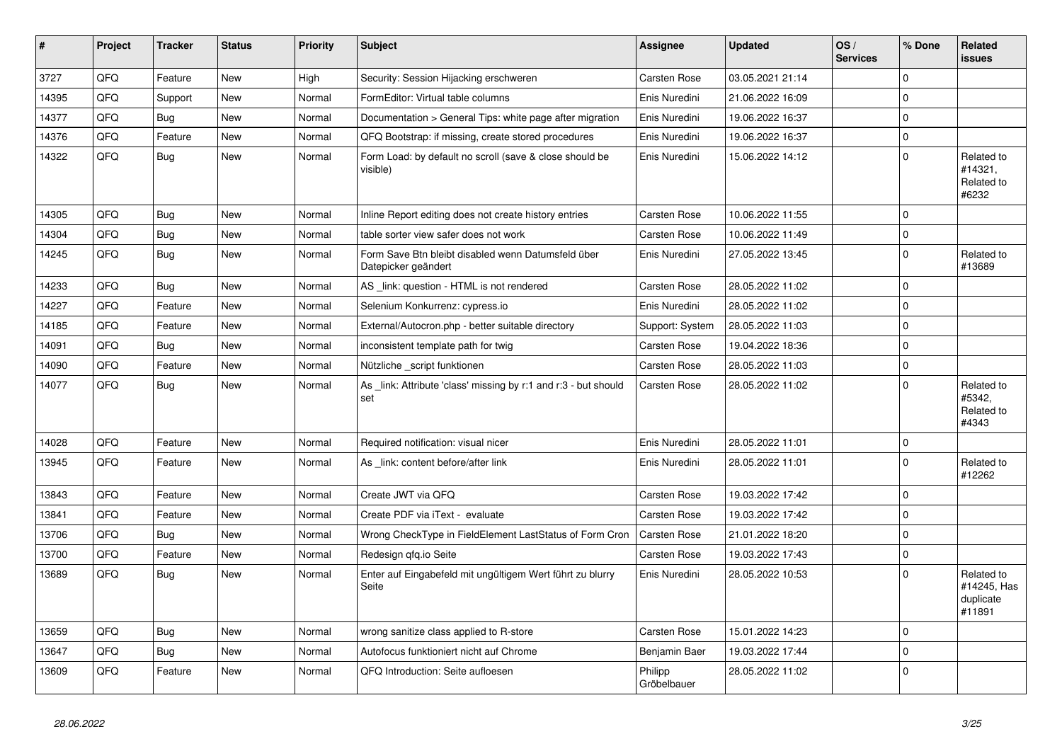| #     | Project | <b>Tracker</b> | <b>Status</b> | <b>Priority</b> | <b>Subject</b>                                                            | Assignee               | <b>Updated</b>   | OS/<br><b>Services</b> | % Done   | Related<br><b>issues</b>                         |
|-------|---------|----------------|---------------|-----------------|---------------------------------------------------------------------------|------------------------|------------------|------------------------|----------|--------------------------------------------------|
| 3727  | QFQ     | Feature        | New           | High            | Security: Session Hijacking erschweren                                    | <b>Carsten Rose</b>    | 03.05.2021 21:14 |                        | $\Omega$ |                                                  |
| 14395 | QFQ     | Support        | <b>New</b>    | Normal          | FormEditor: Virtual table columns                                         | Enis Nuredini          | 21.06.2022 16:09 |                        | $\Omega$ |                                                  |
| 14377 | QFQ     | <b>Bug</b>     | New           | Normal          | Documentation > General Tips: white page after migration                  | Enis Nuredini          | 19.06.2022 16:37 |                        | $\Omega$ |                                                  |
| 14376 | QFQ     | Feature        | New           | Normal          | QFQ Bootstrap: if missing, create stored procedures                       | Enis Nuredini          | 19.06.2022 16:37 |                        | 0        |                                                  |
| 14322 | QFQ     | Bug            | New           | Normal          | Form Load: by default no scroll (save & close should be<br>visible)       | Enis Nuredini          | 15.06.2022 14:12 |                        | $\Omega$ | Related to<br>#14321,<br>Related to<br>#6232     |
| 14305 | QFQ     | Bug            | New           | Normal          | Inline Report editing does not create history entries                     | <b>Carsten Rose</b>    | 10.06.2022 11:55 |                        | 0        |                                                  |
| 14304 | QFQ     | Bug            | New           | Normal          | table sorter view safer does not work                                     | <b>Carsten Rose</b>    | 10.06.2022 11:49 |                        | $\Omega$ |                                                  |
| 14245 | QFQ     | <b>Bug</b>     | <b>New</b>    | Normal          | Form Save Btn bleibt disabled wenn Datumsfeld über<br>Datepicker geändert | Enis Nuredini          | 27.05.2022 13:45 |                        | 0        | Related to<br>#13689                             |
| 14233 | QFQ     | <b>Bug</b>     | <b>New</b>    | Normal          | AS link: question - HTML is not rendered                                  | Carsten Rose           | 28.05.2022 11:02 |                        | 0        |                                                  |
| 14227 | QFQ     | Feature        | New           | Normal          | Selenium Konkurrenz: cypress.io                                           | Enis Nuredini          | 28.05.2022 11:02 |                        | 0        |                                                  |
| 14185 | QFQ     | Feature        | New           | Normal          | External/Autocron.php - better suitable directory                         | Support: System        | 28.05.2022 11:03 |                        | 0        |                                                  |
| 14091 | QFQ     | <b>Bug</b>     | <b>New</b>    | Normal          | inconsistent template path for twig                                       | Carsten Rose           | 19.04.2022 18:36 |                        | 0        |                                                  |
| 14090 | QFQ     | Feature        | New           | Normal          | Nützliche script funktionen                                               | <b>Carsten Rose</b>    | 28.05.2022 11:03 |                        | 0        |                                                  |
| 14077 | QFQ     | <b>Bug</b>     | New           | Normal          | As _link: Attribute 'class' missing by r:1 and r:3 - but should<br>set    | <b>Carsten Rose</b>    | 28.05.2022 11:02 |                        | $\Omega$ | Related to<br>#5342.<br>Related to<br>#4343      |
| 14028 | QFQ     | Feature        | New           | Normal          | Required notification: visual nicer                                       | Enis Nuredini          | 28.05.2022 11:01 |                        | 0        |                                                  |
| 13945 | QFQ     | Feature        | <b>New</b>    | Normal          | As _link: content before/after link                                       | Enis Nuredini          | 28.05.2022 11:01 |                        | $\Omega$ | Related to<br>#12262                             |
| 13843 | QFQ     | Feature        | <b>New</b>    | Normal          | Create JWT via QFQ                                                        | <b>Carsten Rose</b>    | 19.03.2022 17:42 |                        | 0        |                                                  |
| 13841 | QFQ     | Feature        | <b>New</b>    | Normal          | Create PDF via iText - evaluate                                           | <b>Carsten Rose</b>    | 19.03.2022 17:42 |                        | 0        |                                                  |
| 13706 | QFQ     | <b>Bug</b>     | New           | Normal          | Wrong CheckType in FieldElement LastStatus of Form Cron                   | Carsten Rose           | 21.01.2022 18:20 |                        | 0        |                                                  |
| 13700 | QFQ     | Feature        | New           | Normal          | Redesign gfg.io Seite                                                     | Carsten Rose           | 19.03.2022 17:43 |                        | $\Omega$ |                                                  |
| 13689 | QFQ     | <b>Bug</b>     | <b>New</b>    | Normal          | Enter auf Eingabefeld mit ungültigem Wert führt zu blurry<br>Seite        | Enis Nuredini          | 28.05.2022 10:53 |                        | $\Omega$ | Related to<br>#14245, Has<br>duplicate<br>#11891 |
| 13659 | QFQ     | <b>Bug</b>     | <b>New</b>    | Normal          | wrong sanitize class applied to R-store                                   | <b>Carsten Rose</b>    | 15.01.2022 14:23 |                        | $\Omega$ |                                                  |
| 13647 | QFQ     | <b>Bug</b>     | New           | Normal          | Autofocus funktioniert nicht auf Chrome                                   | Benjamin Baer          | 19.03.2022 17:44 |                        | $\Omega$ |                                                  |
| 13609 | QFQ     | Feature        | New           | Normal          | QFQ Introduction: Seite aufloesen                                         | Philipp<br>Gröbelbauer | 28.05.2022 11:02 |                        | 0        |                                                  |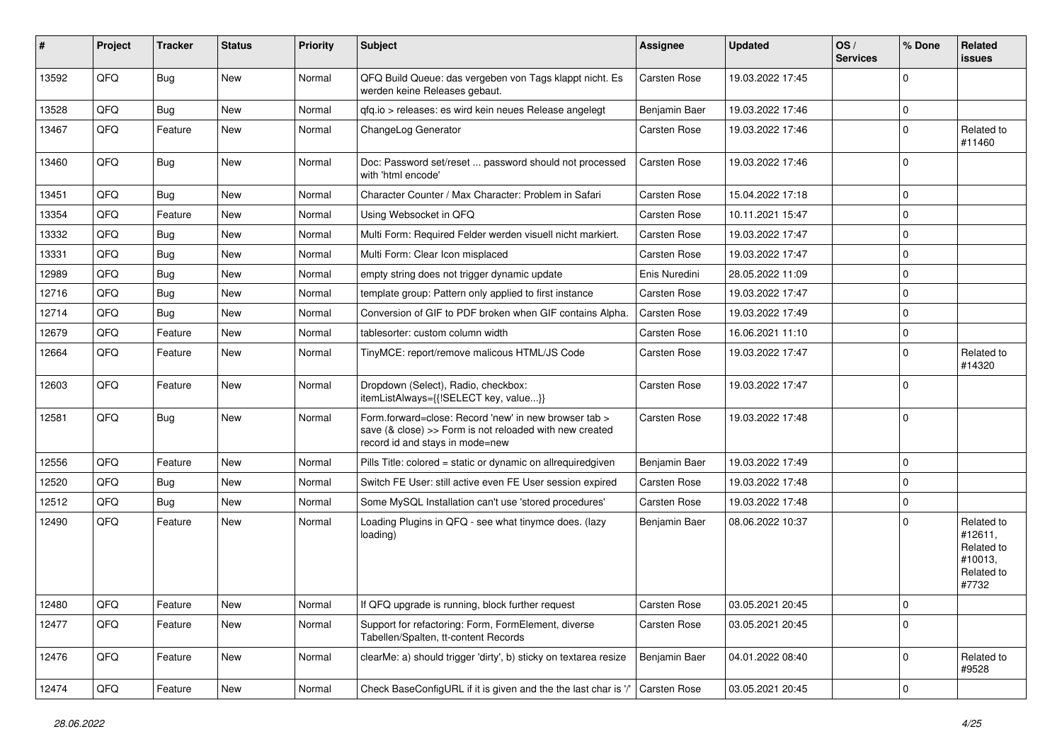| #     | Project | <b>Tracker</b> | <b>Status</b> | <b>Priority</b> | Subject                                                                                                                                             | Assignee      | <b>Updated</b>   | OS/<br><b>Services</b> | % Done      | Related<br>issues                                                     |
|-------|---------|----------------|---------------|-----------------|-----------------------------------------------------------------------------------------------------------------------------------------------------|---------------|------------------|------------------------|-------------|-----------------------------------------------------------------------|
| 13592 | QFQ     | Bug            | New           | Normal          | QFQ Build Queue: das vergeben von Tags klappt nicht. Es<br>werden keine Releases gebaut.                                                            | Carsten Rose  | 19.03.2022 17:45 |                        | $\Omega$    |                                                                       |
| 13528 | QFQ     | <b>Bug</b>     | <b>New</b>    | Normal          | qfq.io > releases: es wird kein neues Release angelegt                                                                                              | Benjamin Baer | 19.03.2022 17:46 |                        | $\Omega$    |                                                                       |
| 13467 | QFQ     | Feature        | <b>New</b>    | Normal          | ChangeLog Generator                                                                                                                                 | Carsten Rose  | 19.03.2022 17:46 |                        | $\Omega$    | Related to<br>#11460                                                  |
| 13460 | QFQ     | Bug            | <b>New</b>    | Normal          | Doc: Password set/reset  password should not processed<br>with 'html encode'                                                                        | Carsten Rose  | 19.03.2022 17:46 |                        | $\Omega$    |                                                                       |
| 13451 | QFQ     | Bug            | New           | Normal          | Character Counter / Max Character: Problem in Safari                                                                                                | Carsten Rose  | 15.04.2022 17:18 |                        | $\Omega$    |                                                                       |
| 13354 | QFQ     | Feature        | <b>New</b>    | Normal          | Using Websocket in QFQ                                                                                                                              | Carsten Rose  | 10.11.2021 15:47 |                        | $\Omega$    |                                                                       |
| 13332 | QFQ     | <b>Bug</b>     | New           | Normal          | Multi Form: Required Felder werden visuell nicht markiert.                                                                                          | Carsten Rose  | 19.03.2022 17:47 |                        | $\Omega$    |                                                                       |
| 13331 | QFQ     | <b>Bug</b>     | <b>New</b>    | Normal          | Multi Form: Clear Icon misplaced                                                                                                                    | Carsten Rose  | 19.03.2022 17:47 |                        | $\Omega$    |                                                                       |
| 12989 | QFQ     | <b>Bug</b>     | <b>New</b>    | Normal          | empty string does not trigger dynamic update                                                                                                        | Enis Nuredini | 28.05.2022 11:09 |                        | $\Omega$    |                                                                       |
| 12716 | QFQ     | <b>Bug</b>     | New           | Normal          | template group: Pattern only applied to first instance                                                                                              | Carsten Rose  | 19.03.2022 17:47 |                        | $\Omega$    |                                                                       |
| 12714 | QFQ     | <b>Bug</b>     | <b>New</b>    | Normal          | Conversion of GIF to PDF broken when GIF contains Alpha.                                                                                            | Carsten Rose  | 19.03.2022 17:49 |                        | $\Omega$    |                                                                       |
| 12679 | QFQ     | Feature        | New           | Normal          | tablesorter: custom column width                                                                                                                    | Carsten Rose  | 16.06.2021 11:10 |                        | $\mathbf 0$ |                                                                       |
| 12664 | QFQ     | Feature        | New           | Normal          | TinyMCE: report/remove malicous HTML/JS Code                                                                                                        | Carsten Rose  | 19.03.2022 17:47 |                        | $\Omega$    | Related to<br>#14320                                                  |
| 12603 | QFQ     | Feature        | New           | Normal          | Dropdown (Select), Radio, checkbox:<br>itemListAlways={{!SELECT key, value}}                                                                        | Carsten Rose  | 19.03.2022 17:47 |                        | $\Omega$    |                                                                       |
| 12581 | QFQ     | Bug            | New           | Normal          | Form.forward=close: Record 'new' in new browser tab ><br>save (& close) >> Form is not reloaded with new created<br>record id and stays in mode=new | Carsten Rose  | 19.03.2022 17:48 |                        | $\Omega$    |                                                                       |
| 12556 | QFQ     | Feature        | <b>New</b>    | Normal          | Pills Title: colored = static or dynamic on allrequiredgiven                                                                                        | Benjamin Baer | 19.03.2022 17:49 |                        | $\Omega$    |                                                                       |
| 12520 | QFQ     | <b>Bug</b>     | New           | Normal          | Switch FE User: still active even FE User session expired                                                                                           | Carsten Rose  | 19.03.2022 17:48 |                        | $\Omega$    |                                                                       |
| 12512 | QFQ     | <b>Bug</b>     | <b>New</b>    | Normal          | Some MySQL Installation can't use 'stored procedures'                                                                                               | Carsten Rose  | 19.03.2022 17:48 |                        | $\Omega$    |                                                                       |
| 12490 | QFQ     | Feature        | New           | Normal          | Loading Plugins in QFQ - see what tinymce does. (lazy<br>loading)                                                                                   | Benjamin Baer | 08.06.2022 10:37 |                        | $\Omega$    | Related to<br>#12611,<br>Related to<br>#10013,<br>Related to<br>#7732 |
| 12480 | QFQ     | Feature        | New           | Normal          | If QFQ upgrade is running, block further request                                                                                                    | Carsten Rose  | 03.05.2021 20:45 |                        | 0           |                                                                       |
| 12477 | QFQ     | Feature        | New           | Normal          | Support for refactoring: Form, FormElement, diverse<br>Tabellen/Spalten, tt-content Records                                                         | Carsten Rose  | 03.05.2021 20:45 |                        | $\mathbf 0$ |                                                                       |
| 12476 | QFQ     | Feature        | New           | Normal          | clearMe: a) should trigger 'dirty', b) sticky on textarea resize                                                                                    | Benjamin Baer | 04.01.2022 08:40 |                        | 0           | Related to<br>#9528                                                   |
| 12474 | QFG     | Feature        | New           | Normal          | Check BaseConfigURL if it is given and the the last char is '/'                                                                                     | Carsten Rose  | 03.05.2021 20:45 |                        | $\pmb{0}$   |                                                                       |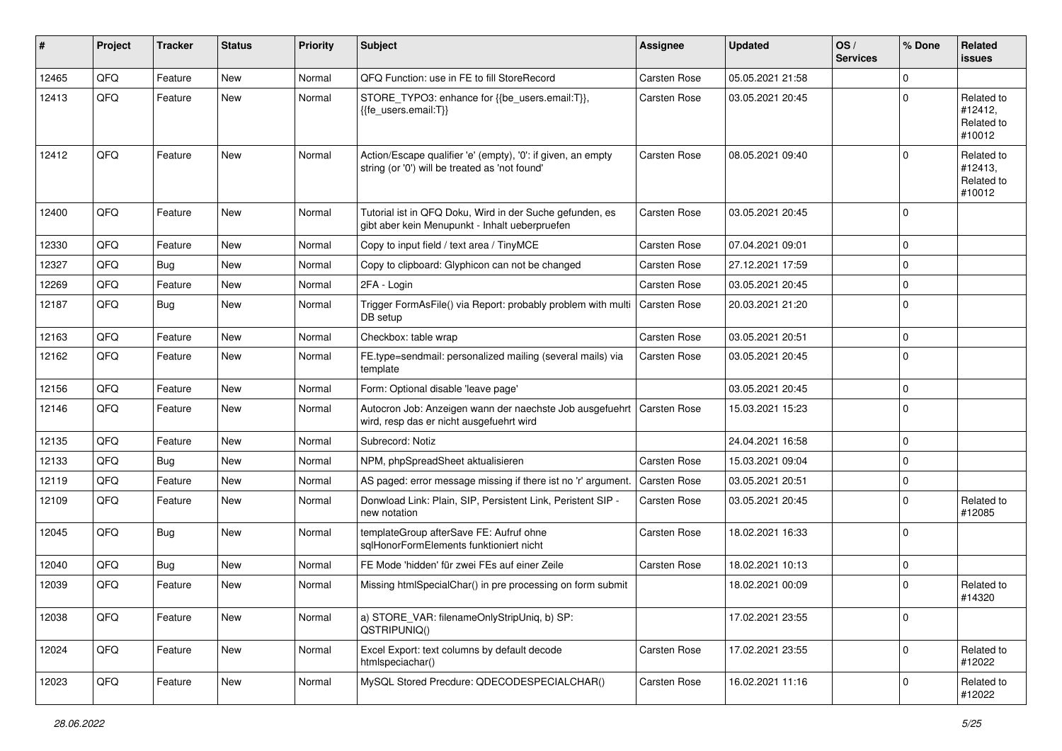| #     | Project | <b>Tracker</b> | <b>Status</b> | <b>Priority</b> | Subject                                                                                                        | <b>Assignee</b> | <b>Updated</b>   | OS/<br><b>Services</b> | % Done      | Related<br>issues                             |
|-------|---------|----------------|---------------|-----------------|----------------------------------------------------------------------------------------------------------------|-----------------|------------------|------------------------|-------------|-----------------------------------------------|
| 12465 | QFQ     | Feature        | <b>New</b>    | Normal          | QFQ Function: use in FE to fill StoreRecord                                                                    | Carsten Rose    | 05.05.2021 21:58 |                        | 0           |                                               |
| 12413 | QFQ     | Feature        | New           | Normal          | STORE_TYPO3: enhance for {{be_users.email:T}},<br>{{fe users.email:T}}                                         | Carsten Rose    | 03.05.2021 20:45 |                        | $\Omega$    | Related to<br>#12412,<br>Related to<br>#10012 |
| 12412 | QFQ     | Feature        | New           | Normal          | Action/Escape qualifier 'e' (empty), '0': if given, an empty<br>string (or '0') will be treated as 'not found' | Carsten Rose    | 08.05.2021 09:40 |                        | $\Omega$    | Related to<br>#12413,<br>Related to<br>#10012 |
| 12400 | QFQ     | Feature        | New           | Normal          | Tutorial ist in QFQ Doku, Wird in der Suche gefunden, es<br>gibt aber kein Menupunkt - Inhalt ueberpruefen     | Carsten Rose    | 03.05.2021 20:45 |                        | $\mathbf 0$ |                                               |
| 12330 | QFQ     | Feature        | <b>New</b>    | Normal          | Copy to input field / text area / TinyMCE                                                                      | Carsten Rose    | 07.04.2021 09:01 |                        | $\mathbf 0$ |                                               |
| 12327 | QFQ     | <b>Bug</b>     | <b>New</b>    | Normal          | Copy to clipboard: Glyphicon can not be changed                                                                | Carsten Rose    | 27.12.2021 17:59 |                        | 0           |                                               |
| 12269 | QFQ     | Feature        | New           | Normal          | 2FA - Login                                                                                                    | Carsten Rose    | 03.05.2021 20:45 |                        | $\mathbf 0$ |                                               |
| 12187 | QFQ     | Bug            | <b>New</b>    | Normal          | Trigger FormAsFile() via Report: probably problem with multi<br>DB setup                                       | Carsten Rose    | 20.03.2021 21:20 |                        | $\mathbf 0$ |                                               |
| 12163 | QFQ     | Feature        | <b>New</b>    | Normal          | Checkbox: table wrap                                                                                           | Carsten Rose    | 03.05.2021 20:51 |                        | $\mathbf 0$ |                                               |
| 12162 | QFQ     | Feature        | New           | Normal          | FE.type=sendmail: personalized mailing (several mails) via<br>template                                         | Carsten Rose    | 03.05.2021 20:45 |                        | $\mathbf 0$ |                                               |
| 12156 | QFQ     | Feature        | <b>New</b>    | Normal          | Form: Optional disable 'leave page'                                                                            |                 | 03.05.2021 20:45 |                        | $\pmb{0}$   |                                               |
| 12146 | QFQ     | Feature        | <b>New</b>    | Normal          | Autocron Job: Anzeigen wann der naechste Job ausgefuehrt<br>wird, resp das er nicht ausgefuehrt wird           | Carsten Rose    | 15.03.2021 15:23 |                        | $\mathbf 0$ |                                               |
| 12135 | QFQ     | Feature        | <b>New</b>    | Normal          | Subrecord: Notiz                                                                                               |                 | 24.04.2021 16:58 |                        | $\mathbf 0$ |                                               |
| 12133 | QFQ     | <b>Bug</b>     | <b>New</b>    | Normal          | NPM, phpSpreadSheet aktualisieren                                                                              | Carsten Rose    | 15.03.2021 09:04 |                        | 0           |                                               |
| 12119 | QFQ     | Feature        | <b>New</b>    | Normal          | AS paged: error message missing if there ist no 'r' argument.                                                  | Carsten Rose    | 03.05.2021 20:51 |                        | $\mathbf 0$ |                                               |
| 12109 | QFQ     | Feature        | New           | Normal          | Donwload Link: Plain, SIP, Persistent Link, Peristent SIP -<br>new notation                                    | Carsten Rose    | 03.05.2021 20:45 |                        | $\mathbf 0$ | Related to<br>#12085                          |
| 12045 | QFQ     | Bug            | <b>New</b>    | Normal          | templateGroup afterSave FE: Aufruf ohne<br>sqlHonorFormElements funktioniert nicht                             | Carsten Rose    | 18.02.2021 16:33 |                        | $\mathbf 0$ |                                               |
| 12040 | QFQ     | <b>Bug</b>     | <b>New</b>    | Normal          | FE Mode 'hidden' für zwei FEs auf einer Zeile                                                                  | Carsten Rose    | 18.02.2021 10:13 |                        | 0           |                                               |
| 12039 | QFQ     | Feature        | <b>New</b>    | Normal          | Missing htmlSpecialChar() in pre processing on form submit                                                     |                 | 18.02.2021 00:09 |                        | 0           | Related to<br>#14320                          |
| 12038 | QFQ     | Feature        | New           | Normal          | a) STORE_VAR: filenameOnlyStripUniq, b) SP:<br>QSTRIPUNIQ()                                                    |                 | 17.02.2021 23:55 |                        | $\mathbf 0$ |                                               |
| 12024 | QFQ     | Feature        | New           | Normal          | Excel Export: text columns by default decode<br>htmlspeciachar()                                               | Carsten Rose    | 17.02.2021 23:55 |                        | $\mathbf 0$ | Related to<br>#12022                          |
| 12023 | QFQ     | Feature        | New           | Normal          | MySQL Stored Precdure: QDECODESPECIALCHAR()                                                                    | Carsten Rose    | 16.02.2021 11:16 |                        | $\pmb{0}$   | Related to<br>#12022                          |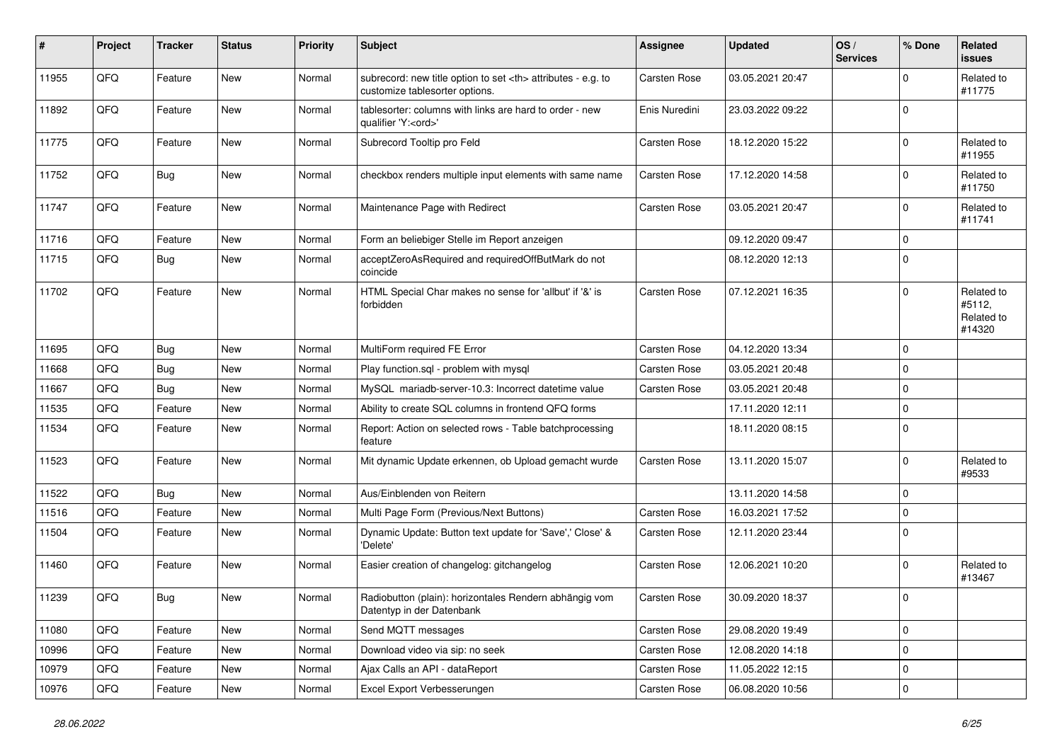| ∦     | Project | <b>Tracker</b> | <b>Status</b> | <b>Priority</b> | <b>Subject</b>                                                                                       | <b>Assignee</b>                                        | <b>Updated</b>   | OS/<br><b>Services</b> | % Done      | Related<br>issues                            |                      |
|-------|---------|----------------|---------------|-----------------|------------------------------------------------------------------------------------------------------|--------------------------------------------------------|------------------|------------------------|-------------|----------------------------------------------|----------------------|
| 11955 | QFQ     | Feature        | New           | Normal          | subrecord: new title option to set <th> attributes - e.g. to<br/>customize tablesorter options.</th> | attributes - e.g. to<br>customize tablesorter options. | Carsten Rose     | 03.05.2021 20:47       |             | $\mathbf 0$                                  | Related to<br>#11775 |
| 11892 | QFQ     | Feature        | New           | Normal          | tablesorter: columns with links are hard to order - new<br>qualifier 'Y: <ord>'</ord>                | Enis Nuredini                                          | 23.03.2022 09:22 |                        | $\mathbf 0$ |                                              |                      |
| 11775 | QFQ     | Feature        | <b>New</b>    | Normal          | Subrecord Tooltip pro Feld                                                                           | Carsten Rose                                           | 18.12.2020 15:22 |                        | $\mathbf 0$ | Related to<br>#11955                         |                      |
| 11752 | QFQ     | Bug            | New           | Normal          | checkbox renders multiple input elements with same name                                              | Carsten Rose                                           | 17.12.2020 14:58 |                        | 0           | Related to<br>#11750                         |                      |
| 11747 | QFQ     | Feature        | New           | Normal          | Maintenance Page with Redirect                                                                       | Carsten Rose                                           | 03.05.2021 20:47 |                        | $\mathbf 0$ | Related to<br>#11741                         |                      |
| 11716 | QFQ     | Feature        | <b>New</b>    | Normal          | Form an beliebiger Stelle im Report anzeigen                                                         |                                                        | 09.12.2020 09:47 |                        | $\mathbf 0$ |                                              |                      |
| 11715 | QFQ     | <b>Bug</b>     | New           | Normal          | acceptZeroAsRequired and requiredOffButMark do not<br>coincide                                       |                                                        | 08.12.2020 12:13 |                        | $\mathbf 0$ |                                              |                      |
| 11702 | QFQ     | Feature        | New           | Normal          | HTML Special Char makes no sense for 'allbut' if '&' is<br>forbidden                                 | Carsten Rose                                           | 07.12.2021 16:35 |                        | $\mathbf 0$ | Related to<br>#5112,<br>Related to<br>#14320 |                      |
| 11695 | QFQ     | Bug            | New           | Normal          | MultiForm required FE Error                                                                          | Carsten Rose                                           | 04.12.2020 13:34 |                        | 0           |                                              |                      |
| 11668 | QFQ     | Bug            | New           | Normal          | Play function.sql - problem with mysql                                                               | Carsten Rose                                           | 03.05.2021 20:48 |                        | $\mathbf 0$ |                                              |                      |
| 11667 | QFQ     | <b>Bug</b>     | <b>New</b>    | Normal          | MySQL mariadb-server-10.3: Incorrect datetime value                                                  | Carsten Rose                                           | 03.05.2021 20:48 |                        | $\mathbf 0$ |                                              |                      |
| 11535 | QFQ     | Feature        | <b>New</b>    | Normal          | Ability to create SQL columns in frontend QFQ forms                                                  |                                                        | 17.11.2020 12:11 |                        | $\pmb{0}$   |                                              |                      |
| 11534 | QFQ     | Feature        | New           | Normal          | Report: Action on selected rows - Table batchprocessing<br>feature                                   |                                                        | 18.11.2020 08:15 |                        | $\mathbf 0$ |                                              |                      |
| 11523 | QFQ     | Feature        | New           | Normal          | Mit dynamic Update erkennen, ob Upload gemacht wurde                                                 | Carsten Rose                                           | 13.11.2020 15:07 |                        | 0           | Related to<br>#9533                          |                      |
| 11522 | QFQ     | Bug            | New           | Normal          | Aus/Einblenden von Reitern                                                                           |                                                        | 13.11.2020 14:58 |                        | $\mathbf 0$ |                                              |                      |
| 11516 | QFQ     | Feature        | <b>New</b>    | Normal          | Multi Page Form (Previous/Next Buttons)                                                              | Carsten Rose                                           | 16.03.2021 17:52 |                        | $\mathbf 0$ |                                              |                      |
| 11504 | QFQ     | Feature        | <b>New</b>    | Normal          | Dynamic Update: Button text update for 'Save',' Close' &<br>'Delete'                                 | Carsten Rose                                           | 12.11.2020 23:44 |                        | $\mathbf 0$ |                                              |                      |
| 11460 | QFQ     | Feature        | New           | Normal          | Easier creation of changelog: gitchangelog                                                           | Carsten Rose                                           | 12.06.2021 10:20 |                        | $\mathbf 0$ | Related to<br>#13467                         |                      |
| 11239 | QFQ     | Bug            | New           | Normal          | Radiobutton (plain): horizontales Rendern abhängig vom<br>Datentyp in der Datenbank                  | Carsten Rose                                           | 30.09.2020 18:37 |                        | $\mathbf 0$ |                                              |                      |
| 11080 | QFO     | Feature        | New           | Normal          | Send MQTT messages                                                                                   | Carsten Rose                                           | 29.08.2020 19:49 |                        | $\pmb{0}$   |                                              |                      |
| 10996 | QFQ     | Feature        | New           | Normal          | Download video via sip: no seek                                                                      | Carsten Rose                                           | 12.08.2020 14:18 |                        | $\pmb{0}$   |                                              |                      |
| 10979 | QFO     | Feature        | New           | Normal          | Ajax Calls an API - dataReport                                                                       | Carsten Rose                                           | 11.05.2022 12:15 |                        | $\pmb{0}$   |                                              |                      |
| 10976 | QFQ     | Feature        | New           | Normal          | Excel Export Verbesserungen                                                                          | Carsten Rose                                           | 06.08.2020 10:56 |                        | $\pmb{0}$   |                                              |                      |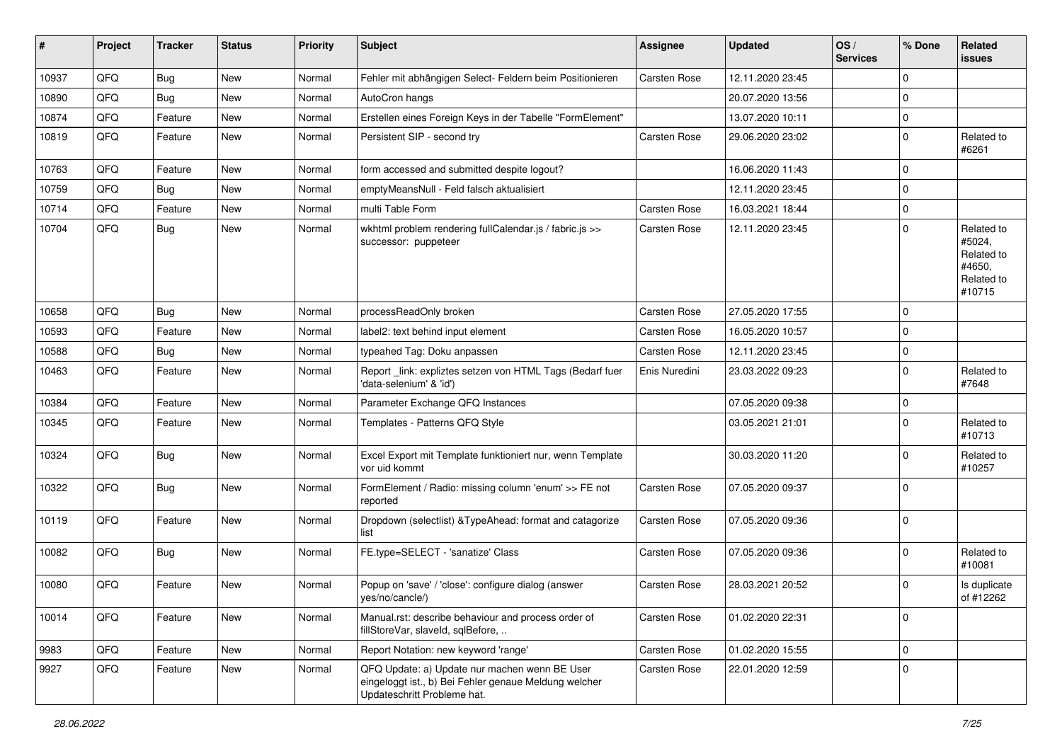| #     | Project | <b>Tracker</b> | <b>Status</b> | <b>Priority</b> | Subject                                                                                                                               | <b>Assignee</b> | <b>Updated</b>   | OS/<br><b>Services</b> | % Done      | <b>Related</b><br>issues                                             |
|-------|---------|----------------|---------------|-----------------|---------------------------------------------------------------------------------------------------------------------------------------|-----------------|------------------|------------------------|-------------|----------------------------------------------------------------------|
| 10937 | QFQ     | <b>Bug</b>     | <b>New</b>    | Normal          | Fehler mit abhängigen Select- Feldern beim Positionieren                                                                              | Carsten Rose    | 12.11.2020 23:45 |                        | 0           |                                                                      |
| 10890 | QFQ     | Bug            | <b>New</b>    | Normal          | AutoCron hangs                                                                                                                        |                 | 20.07.2020 13:56 |                        | 0           |                                                                      |
| 10874 | QFQ     | Feature        | New           | Normal          | Erstellen eines Foreign Keys in der Tabelle "FormElement"                                                                             |                 | 13.07.2020 10:11 |                        | $\mathbf 0$ |                                                                      |
| 10819 | QFQ     | Feature        | <b>New</b>    | Normal          | Persistent SIP - second try                                                                                                           | Carsten Rose    | 29.06.2020 23:02 |                        | $\mathbf 0$ | Related to<br>#6261                                                  |
| 10763 | QFQ     | Feature        | New           | Normal          | form accessed and submitted despite logout?                                                                                           |                 | 16.06.2020 11:43 |                        | $\mathbf 0$ |                                                                      |
| 10759 | QFQ     | <b>Bug</b>     | <b>New</b>    | Normal          | emptyMeansNull - Feld falsch aktualisiert                                                                                             |                 | 12.11.2020 23:45 |                        | $\mathbf 0$ |                                                                      |
| 10714 | QFQ     | Feature        | New           | Normal          | multi Table Form                                                                                                                      | Carsten Rose    | 16.03.2021 18:44 |                        | 0           |                                                                      |
| 10704 | QFQ     | <b>Bug</b>     | New           | Normal          | wkhtml problem rendering fullCalendar.js / fabric.js >><br>successor: puppeteer                                                       | Carsten Rose    | 12.11.2020 23:45 |                        | $\mathbf 0$ | Related to<br>#5024,<br>Related to<br>#4650,<br>Related to<br>#10715 |
| 10658 | QFQ     | <b>Bug</b>     | New           | Normal          | processReadOnly broken                                                                                                                | Carsten Rose    | 27.05.2020 17:55 |                        | $\mathbf 0$ |                                                                      |
| 10593 | QFQ     | Feature        | <b>New</b>    | Normal          | label2: text behind input element                                                                                                     | Carsten Rose    | 16.05.2020 10:57 |                        | $\mathbf 0$ |                                                                      |
| 10588 | QFQ     | <b>Bug</b>     | <b>New</b>    | Normal          | typeahed Tag: Doku anpassen                                                                                                           | Carsten Rose    | 12.11.2020 23:45 |                        | $\pmb{0}$   |                                                                      |
| 10463 | QFQ     | Feature        | New           | Normal          | Report_link: expliztes setzen von HTML Tags (Bedarf fuer<br>'data-selenium' & 'id')                                                   | Enis Nuredini   | 23.03.2022 09:23 |                        | $\mathbf 0$ | Related to<br>#7648                                                  |
| 10384 | QFQ     | Feature        | <b>New</b>    | Normal          | Parameter Exchange QFQ Instances                                                                                                      |                 | 07.05.2020 09:38 |                        | $\mathbf 0$ |                                                                      |
| 10345 | QFQ     | Feature        | New           | Normal          | Templates - Patterns QFQ Style                                                                                                        |                 | 03.05.2021 21:01 |                        | $\mathbf 0$ | Related to<br>#10713                                                 |
| 10324 | QFQ     | <b>Bug</b>     | <b>New</b>    | Normal          | Excel Export mit Template funktioniert nur, wenn Template<br>vor uid kommt                                                            |                 | 30.03.2020 11:20 |                        | $\mathbf 0$ | Related to<br>#10257                                                 |
| 10322 | QFQ     | Bug            | New           | Normal          | FormElement / Radio: missing column 'enum' >> FE not<br>reported                                                                      | Carsten Rose    | 07.05.2020 09:37 |                        | $\mathbf 0$ |                                                                      |
| 10119 | QFQ     | Feature        | New           | Normal          | Dropdown (selectlist) & Type Ahead: format and catagorize<br>list                                                                     | Carsten Rose    | 07.05.2020 09:36 |                        | $\mathbf 0$ |                                                                      |
| 10082 | QFQ     | <b>Bug</b>     | New           | Normal          | FE.type=SELECT - 'sanatize' Class                                                                                                     | Carsten Rose    | 07.05.2020 09:36 |                        | 0           | Related to<br>#10081                                                 |
| 10080 | QFQ     | Feature        | <b>New</b>    | Normal          | Popup on 'save' / 'close': configure dialog (answer<br>yes/no/cancle/)                                                                | Carsten Rose    | 28.03.2021 20:52 |                        | $\mathbf 0$ | Is duplicate<br>of #12262                                            |
| 10014 | QFQ     | Feature        | New           | Normal          | Manual.rst: describe behaviour and process order of<br>fillStoreVar, slaveId, sqlBefore,                                              | Carsten Rose    | 01.02.2020 22:31 |                        | $\mathbf 0$ |                                                                      |
| 9983  | QFQ     | Feature        | New           | Normal          | Report Notation: new keyword 'range'                                                                                                  | Carsten Rose    | 01.02.2020 15:55 |                        | $\pmb{0}$   |                                                                      |
| 9927  | QFQ     | Feature        | New           | Normal          | QFQ Update: a) Update nur machen wenn BE User<br>eingeloggt ist., b) Bei Fehler genaue Meldung welcher<br>Updateschritt Probleme hat. | Carsten Rose    | 22.01.2020 12:59 |                        | $\mathbf 0$ |                                                                      |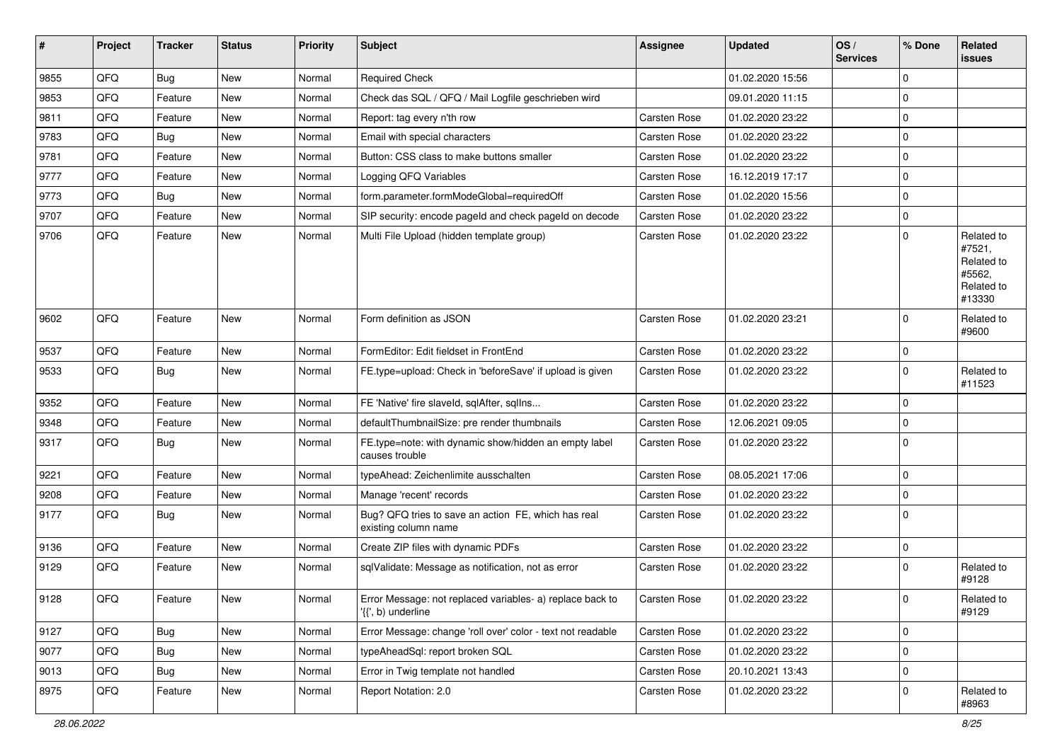| ∦    | Project | <b>Tracker</b> | <b>Status</b> | <b>Priority</b> | <b>Subject</b>                                                                  | <b>Assignee</b> | <b>Updated</b>   | OS/<br><b>Services</b> | % Done       | Related<br>issues                                                    |
|------|---------|----------------|---------------|-----------------|---------------------------------------------------------------------------------|-----------------|------------------|------------------------|--------------|----------------------------------------------------------------------|
| 9855 | QFQ     | <b>Bug</b>     | <b>New</b>    | Normal          | <b>Required Check</b>                                                           |                 | 01.02.2020 15:56 |                        | $\mathbf{0}$ |                                                                      |
| 9853 | QFQ     | Feature        | <b>New</b>    | Normal          | Check das SQL / QFQ / Mail Logfile geschrieben wird                             |                 | 09.01.2020 11:15 |                        | $\mathbf 0$  |                                                                      |
| 9811 | QFQ     | Feature        | New           | Normal          | Report: tag every n'th row                                                      | Carsten Rose    | 01.02.2020 23:22 |                        | $\mathbf 0$  |                                                                      |
| 9783 | QFQ     | <b>Bug</b>     | New           | Normal          | Email with special characters                                                   | Carsten Rose    | 01.02.2020 23:22 |                        | $\mathbf 0$  |                                                                      |
| 9781 | QFQ     | Feature        | New           | Normal          | Button: CSS class to make buttons smaller                                       | Carsten Rose    | 01.02.2020 23:22 |                        | $\mathbf 0$  |                                                                      |
| 9777 | QFQ     | Feature        | <b>New</b>    | Normal          | Logging QFQ Variables                                                           | Carsten Rose    | 16.12.2019 17:17 |                        | $\mathbf 0$  |                                                                      |
| 9773 | QFQ     | Bug            | <b>New</b>    | Normal          | form.parameter.formModeGlobal=requiredOff                                       | Carsten Rose    | 01.02.2020 15:56 |                        | 0            |                                                                      |
| 9707 | QFQ     | Feature        | <b>New</b>    | Normal          | SIP security: encode pageld and check pageld on decode                          | Carsten Rose    | 01.02.2020 23:22 |                        | $\mathbf 0$  |                                                                      |
| 9706 | QFQ     | Feature        | New           | Normal          | Multi File Upload (hidden template group)                                       | Carsten Rose    | 01.02.2020 23:22 |                        | $\mathbf 0$  | Related to<br>#7521,<br>Related to<br>#5562,<br>Related to<br>#13330 |
| 9602 | QFQ     | Feature        | New           | Normal          | Form definition as JSON                                                         | Carsten Rose    | 01.02.2020 23:21 |                        | $\mathbf 0$  | Related to<br>#9600                                                  |
| 9537 | QFQ     | Feature        | <b>New</b>    | Normal          | FormEditor: Edit fieldset in FrontEnd                                           | Carsten Rose    | 01.02.2020 23:22 |                        | $\mathbf 0$  |                                                                      |
| 9533 | QFQ     | <b>Bug</b>     | New           | Normal          | FE.type=upload: Check in 'beforeSave' if upload is given                        | Carsten Rose    | 01.02.2020 23:22 |                        | $\mathbf 0$  | Related to<br>#11523                                                 |
| 9352 | QFQ     | Feature        | <b>New</b>    | Normal          | FE 'Native' fire slaveld, sqlAfter, sqlIns                                      | Carsten Rose    | 01.02.2020 23:22 |                        | $\mathbf 0$  |                                                                      |
| 9348 | QFQ     | Feature        | New           | Normal          | defaultThumbnailSize: pre render thumbnails                                     | Carsten Rose    | 12.06.2021 09:05 |                        | $\mathbf 0$  |                                                                      |
| 9317 | QFQ     | Bug            | New           | Normal          | FE.type=note: with dynamic show/hidden an empty label<br>causes trouble         | Carsten Rose    | 01.02.2020 23:22 |                        | $\mathbf 0$  |                                                                      |
| 9221 | QFQ     | Feature        | <b>New</b>    | Normal          | typeAhead: Zeichenlimite ausschalten                                            | Carsten Rose    | 08.05.2021 17:06 |                        | $\mathbf 0$  |                                                                      |
| 9208 | QFQ     | Feature        | New           | Normal          | Manage 'recent' records                                                         | Carsten Rose    | 01.02.2020 23:22 |                        | $\mathbf 0$  |                                                                      |
| 9177 | QFQ     | <b>Bug</b>     | New           | Normal          | Bug? QFQ tries to save an action FE, which has real<br>existing column name     | Carsten Rose    | 01.02.2020 23:22 |                        | $\mathbf 0$  |                                                                      |
| 9136 | QFQ     | Feature        | <b>New</b>    | Normal          | Create ZIP files with dynamic PDFs                                              | Carsten Rose    | 01.02.2020 23:22 |                        | $\mathbf 0$  |                                                                      |
| 9129 | QFQ     | Feature        | New           | Normal          | sqlValidate: Message as notification, not as error                              | Carsten Rose    | 01.02.2020 23:22 |                        | $\mathbf 0$  | Related to<br>#9128                                                  |
| 9128 | QFG     | Feature        | New           | Normal          | Error Message: not replaced variables- a) replace back to<br>'{{', b) underline | Carsten Rose    | 01.02.2020 23:22 |                        | $\mathbf 0$  | Related to<br>#9129                                                  |
| 9127 | QFQ     | Bug            | New           | Normal          | Error Message: change 'roll over' color - text not readable                     | Carsten Rose    | 01.02.2020 23:22 |                        | $\mathbf 0$  |                                                                      |
| 9077 | QFQ     | <b>Bug</b>     | New           | Normal          | typeAheadSql: report broken SQL                                                 | Carsten Rose    | 01.02.2020 23:22 |                        | $\mathbf 0$  |                                                                      |
| 9013 | QFQ     | <b>Bug</b>     | New           | Normal          | Error in Twig template not handled                                              | Carsten Rose    | 20.10.2021 13:43 |                        | $\pmb{0}$    |                                                                      |
| 8975 | QFQ     | Feature        | New           | Normal          | Report Notation: 2.0                                                            | Carsten Rose    | 01.02.2020 23:22 |                        | 0            | Related to<br>#8963                                                  |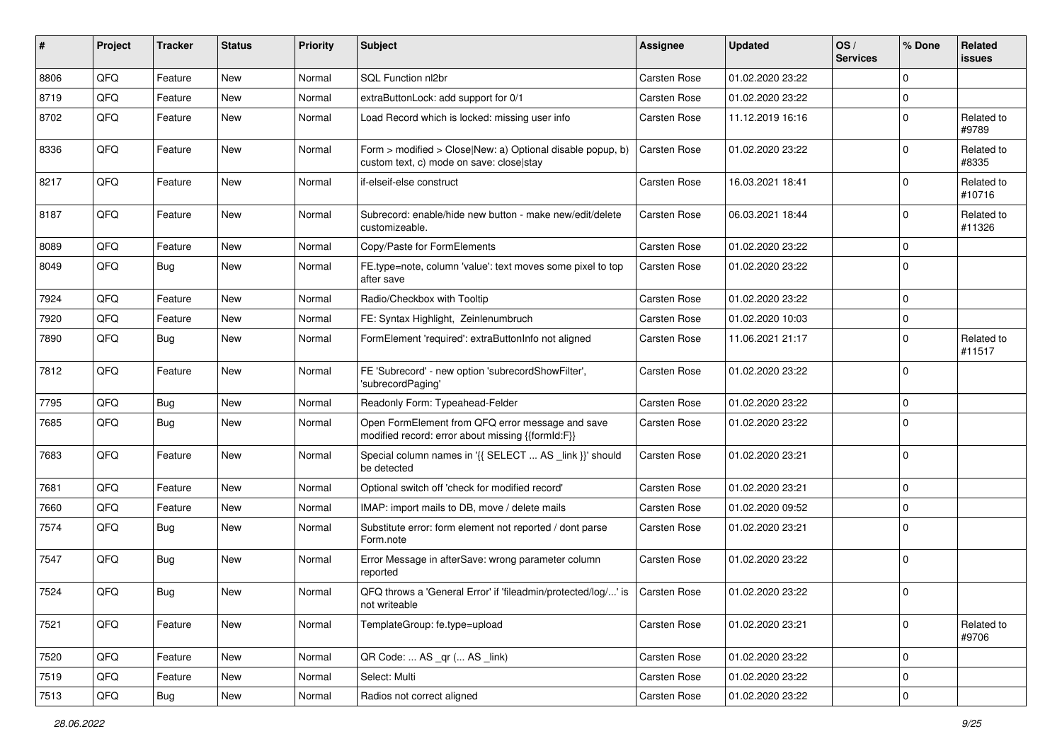| #    | Project | <b>Tracker</b> | <b>Status</b> | <b>Priority</b> | <b>Subject</b>                                                                                         | <b>Assignee</b>     | <b>Updated</b>   | OS/<br><b>Services</b> | % Done      | <b>Related</b><br>issues |
|------|---------|----------------|---------------|-----------------|--------------------------------------------------------------------------------------------------------|---------------------|------------------|------------------------|-------------|--------------------------|
| 8806 | QFQ     | Feature        | New           | Normal          | SQL Function nl2br                                                                                     | <b>Carsten Rose</b> | 01.02.2020 23:22 |                        | 0           |                          |
| 8719 | QFQ     | Feature        | <b>New</b>    | Normal          | extraButtonLock: add support for 0/1                                                                   | Carsten Rose        | 01.02.2020 23:22 |                        | 0           |                          |
| 8702 | QFQ     | Feature        | New           | Normal          | Load Record which is locked: missing user info                                                         | Carsten Rose        | 11.12.2019 16:16 |                        | $\mathbf 0$ | Related to<br>#9789      |
| 8336 | QFQ     | Feature        | New           | Normal          | Form > modified > Close New: a) Optional disable popup, b)<br>custom text, c) mode on save: close stay | Carsten Rose        | 01.02.2020 23:22 |                        | 0           | Related to<br>#8335      |
| 8217 | QFQ     | Feature        | New           | Normal          | if-elseif-else construct                                                                               | Carsten Rose        | 16.03.2021 18:41 |                        | $\mathbf 0$ | Related to<br>#10716     |
| 8187 | QFQ     | Feature        | <b>New</b>    | Normal          | Subrecord: enable/hide new button - make new/edit/delete<br>customizeable.                             | Carsten Rose        | 06.03.2021 18:44 |                        | $\mathbf 0$ | Related to<br>#11326     |
| 8089 | QFQ     | Feature        | <b>New</b>    | Normal          | Copy/Paste for FormElements                                                                            | Carsten Rose        | 01.02.2020 23:22 |                        | 0           |                          |
| 8049 | QFQ     | <b>Bug</b>     | New           | Normal          | FE.type=note, column 'value': text moves some pixel to top<br>after save                               | Carsten Rose        | 01.02.2020 23:22 |                        | $\mathbf 0$ |                          |
| 7924 | QFQ     | Feature        | <b>New</b>    | Normal          | Radio/Checkbox with Tooltip                                                                            | Carsten Rose        | 01.02.2020 23:22 |                        | 0           |                          |
| 7920 | QFQ     | Feature        | <b>New</b>    | Normal          | FE: Syntax Highlight, Zeinlenumbruch                                                                   | Carsten Rose        | 01.02.2020 10:03 |                        | 0           |                          |
| 7890 | QFQ     | Bug            | <b>New</b>    | Normal          | FormElement 'required': extraButtonInfo not aligned                                                    | Carsten Rose        | 11.06.2021 21:17 |                        | $\mathbf 0$ | Related to<br>#11517     |
| 7812 | QFQ     | Feature        | New           | Normal          | FE 'Subrecord' - new option 'subrecordShowFilter',<br>'subrecordPaging'                                | Carsten Rose        | 01.02.2020 23:22 |                        | $\mathbf 0$ |                          |
| 7795 | QFQ     | <b>Bug</b>     | New           | Normal          | Readonly Form: Typeahead-Felder                                                                        | Carsten Rose        | 01.02.2020 23:22 |                        | 0           |                          |
| 7685 | QFQ     | <b>Bug</b>     | <b>New</b>    | Normal          | Open FormElement from QFQ error message and save<br>modified record: error about missing {{formId:F}}  | <b>Carsten Rose</b> | 01.02.2020 23:22 |                        | $\Omega$    |                          |
| 7683 | QFQ     | Feature        | New           | Normal          | Special column names in '{{ SELECT  AS _link }}' should<br>be detected                                 | Carsten Rose        | 01.02.2020 23:21 |                        | $\mathbf 0$ |                          |
| 7681 | QFQ     | Feature        | <b>New</b>    | Normal          | Optional switch off 'check for modified record'                                                        | Carsten Rose        | 01.02.2020 23:21 |                        | $\mathbf 0$ |                          |
| 7660 | QFQ     | Feature        | New           | Normal          | IMAP: import mails to DB, move / delete mails                                                          | Carsten Rose        | 01.02.2020 09:52 |                        | 0           |                          |
| 7574 | QFQ     | Bug            | <b>New</b>    | Normal          | Substitute error: form element not reported / dont parse<br>Form.note                                  | Carsten Rose        | 01.02.2020 23:21 |                        | 0           |                          |
| 7547 | QFQ     | <b>Bug</b>     | New           | Normal          | Error Message in afterSave: wrong parameter column<br>reported                                         | Carsten Rose        | 01.02.2020 23:22 |                        | $\mathbf 0$ |                          |
| 7524 | QFQ     | <b>Bug</b>     | <b>New</b>    | Normal          | QFQ throws a 'General Error' if 'fileadmin/protected/log/' is<br>not writeable                         | Carsten Rose        | 01.02.2020 23:22 |                        | 0           |                          |
| 7521 | QFQ     | Feature        | New           | Normal          | TemplateGroup: fe.type=upload                                                                          | Carsten Rose        | 01.02.2020 23:21 |                        | $\mathbf 0$ | Related to<br>#9706      |
| 7520 | QFQ     | Feature        | New           | Normal          | QR Code:  AS _qr ( AS _link)                                                                           | Carsten Rose        | 01.02.2020 23:22 |                        | 0           |                          |
| 7519 | QFQ     | Feature        | New           | Normal          | Select: Multi                                                                                          | Carsten Rose        | 01.02.2020 23:22 |                        | $\mathbf 0$ |                          |
| 7513 | QFQ     | Bug            | New           | Normal          | Radios not correct aligned                                                                             | Carsten Rose        | 01.02.2020 23:22 |                        | 0           |                          |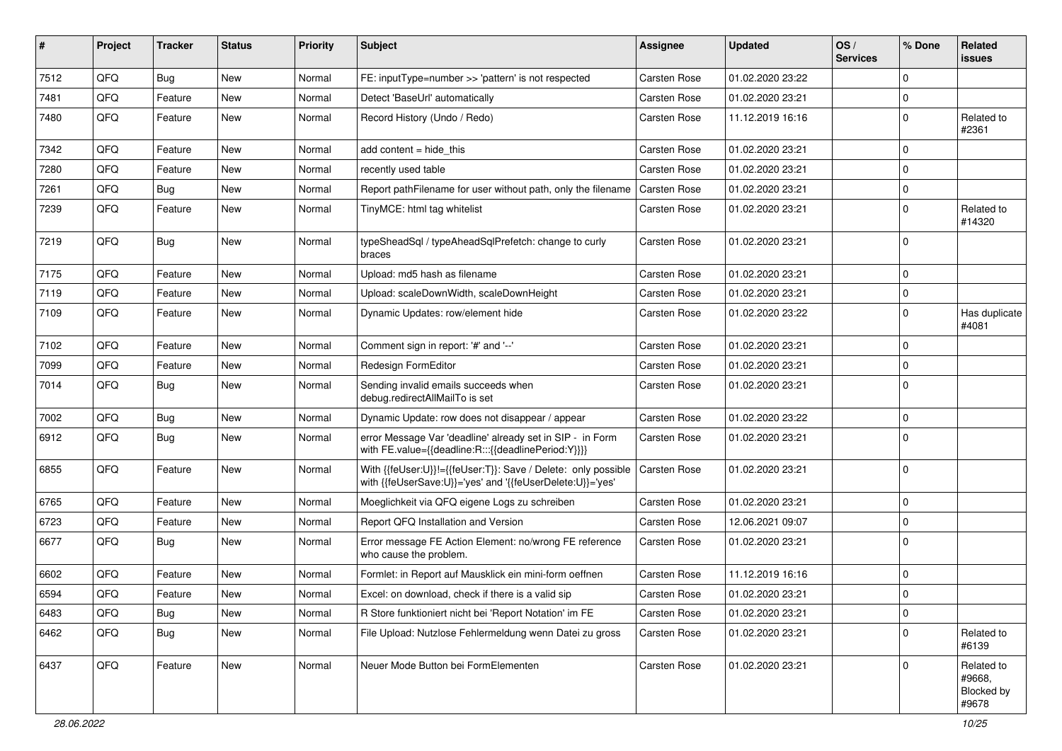| ∦    | Project | <b>Tracker</b> | <b>Status</b> | <b>Priority</b> | <b>Subject</b>                                                                                                             | <b>Assignee</b> | <b>Updated</b>   | OS/<br><b>Services</b> | % Done      | Related<br>issues                           |
|------|---------|----------------|---------------|-----------------|----------------------------------------------------------------------------------------------------------------------------|-----------------|------------------|------------------------|-------------|---------------------------------------------|
| 7512 | QFQ     | <b>Bug</b>     | <b>New</b>    | Normal          | FE: inputType=number >> 'pattern' is not respected                                                                         | Carsten Rose    | 01.02.2020 23:22 |                        | 0           |                                             |
| 7481 | QFQ     | Feature        | <b>New</b>    | Normal          | Detect 'BaseUrl' automatically                                                                                             | Carsten Rose    | 01.02.2020 23:21 |                        | $\mathbf 0$ |                                             |
| 7480 | QFQ     | Feature        | New           | Normal          | Record History (Undo / Redo)                                                                                               | Carsten Rose    | 11.12.2019 16:16 |                        | $\mathbf 0$ | Related to<br>#2361                         |
| 7342 | QFQ     | Feature        | <b>New</b>    | Normal          | add content $=$ hide this                                                                                                  | Carsten Rose    | 01.02.2020 23:21 |                        | $\mathbf 0$ |                                             |
| 7280 | QFQ     | Feature        | New           | Normal          | recently used table                                                                                                        | Carsten Rose    | 01.02.2020 23:21 |                        | $\mathbf 0$ |                                             |
| 7261 | QFQ     | <b>Bug</b>     | <b>New</b>    | Normal          | Report pathFilename for user without path, only the filename                                                               | Carsten Rose    | 01.02.2020 23:21 |                        | $\mathbf 0$ |                                             |
| 7239 | QFQ     | Feature        | New           | Normal          | TinyMCE: html tag whitelist                                                                                                | Carsten Rose    | 01.02.2020 23:21 |                        | $\mathbf 0$ | Related to<br>#14320                        |
| 7219 | QFQ     | Bug            | <b>New</b>    | Normal          | typeSheadSql / typeAheadSqlPrefetch: change to curly<br>braces                                                             | Carsten Rose    | 01.02.2020 23:21 |                        | $\mathbf 0$ |                                             |
| 7175 | QFQ     | Feature        | <b>New</b>    | Normal          | Upload: md5 hash as filename                                                                                               | Carsten Rose    | 01.02.2020 23:21 |                        | 0           |                                             |
| 7119 | QFQ     | Feature        | New           | Normal          | Upload: scaleDownWidth, scaleDownHeight                                                                                    | Carsten Rose    | 01.02.2020 23:21 |                        | $\pmb{0}$   |                                             |
| 7109 | QFQ     | Feature        | New           | Normal          | Dynamic Updates: row/element hide                                                                                          | Carsten Rose    | 01.02.2020 23:22 |                        | $\mathbf 0$ | Has duplicate<br>#4081                      |
| 7102 | QFQ     | Feature        | <b>New</b>    | Normal          | Comment sign in report: '#' and '--'                                                                                       | Carsten Rose    | 01.02.2020 23:21 |                        | $\mathbf 0$ |                                             |
| 7099 | QFQ     | Feature        | <b>New</b>    | Normal          | Redesign FormEditor                                                                                                        | Carsten Rose    | 01.02.2020 23:21 |                        | $\mathbf 0$ |                                             |
| 7014 | QFQ     | <b>Bug</b>     | New           | Normal          | Sending invalid emails succeeds when<br>debug.redirectAllMailTo is set                                                     | Carsten Rose    | 01.02.2020 23:21 |                        | $\mathbf 0$ |                                             |
| 7002 | QFQ     | <b>Bug</b>     | New           | Normal          | Dynamic Update: row does not disappear / appear                                                                            | Carsten Rose    | 01.02.2020 23:22 |                        | $\mathbf 0$ |                                             |
| 6912 | QFQ     | <b>Bug</b>     | <b>New</b>    | Normal          | error Message Var 'deadline' already set in SIP - in Form<br>with FE.value={{deadline:R:::{{deadlinePeriod:Y}}}}           | Carsten Rose    | 01.02.2020 23:21 |                        | $\mathbf 0$ |                                             |
| 6855 | QFQ     | Feature        | New           | Normal          | With {{feUser:U}}!={{feUser:T}}: Save / Delete: only possible<br>with {{feUserSave:U}}='yes' and '{{feUserDelete:U}}='yes' | Carsten Rose    | 01.02.2020 23:21 |                        | $\mathbf 0$ |                                             |
| 6765 | QFQ     | Feature        | <b>New</b>    | Normal          | Moeglichkeit via QFQ eigene Logs zu schreiben                                                                              | Carsten Rose    | 01.02.2020 23:21 |                        | $\mathbf 0$ |                                             |
| 6723 | QFQ     | Feature        | New           | Normal          | Report QFQ Installation and Version                                                                                        | Carsten Rose    | 12.06.2021 09:07 |                        | 0           |                                             |
| 6677 | QFQ     | Bug            | New           | Normal          | Error message FE Action Element: no/wrong FE reference<br>who cause the problem.                                           | Carsten Rose    | 01.02.2020 23:21 |                        | $\mathbf 0$ |                                             |
| 6602 | QFQ     | Feature        | <b>New</b>    | Normal          | Formlet: in Report auf Mausklick ein mini-form oeffnen                                                                     | Carsten Rose    | 11.12.2019 16:16 |                        | $\mathbf 0$ |                                             |
| 6594 | QFQ     | Feature        | New           | Normal          | Excel: on download, check if there is a valid sip                                                                          | Carsten Rose    | 01.02.2020 23:21 |                        | $\mathbf 0$ |                                             |
| 6483 | QFQ     | <b>Bug</b>     | New           | Normal          | R Store funktioniert nicht bei 'Report Notation' im FE                                                                     | Carsten Rose    | 01.02.2020 23:21 |                        | $\pmb{0}$   |                                             |
| 6462 | QFQ     | <b>Bug</b>     | New           | Normal          | File Upload: Nutzlose Fehlermeldung wenn Datei zu gross                                                                    | Carsten Rose    | 01.02.2020 23:21 |                        | $\mathbf 0$ | Related to<br>#6139                         |
| 6437 | QFQ     | Feature        | New           | Normal          | Neuer Mode Button bei FormElementen                                                                                        | Carsten Rose    | 01.02.2020 23:21 |                        | $\mathbf 0$ | Related to<br>#9668,<br>Blocked by<br>#9678 |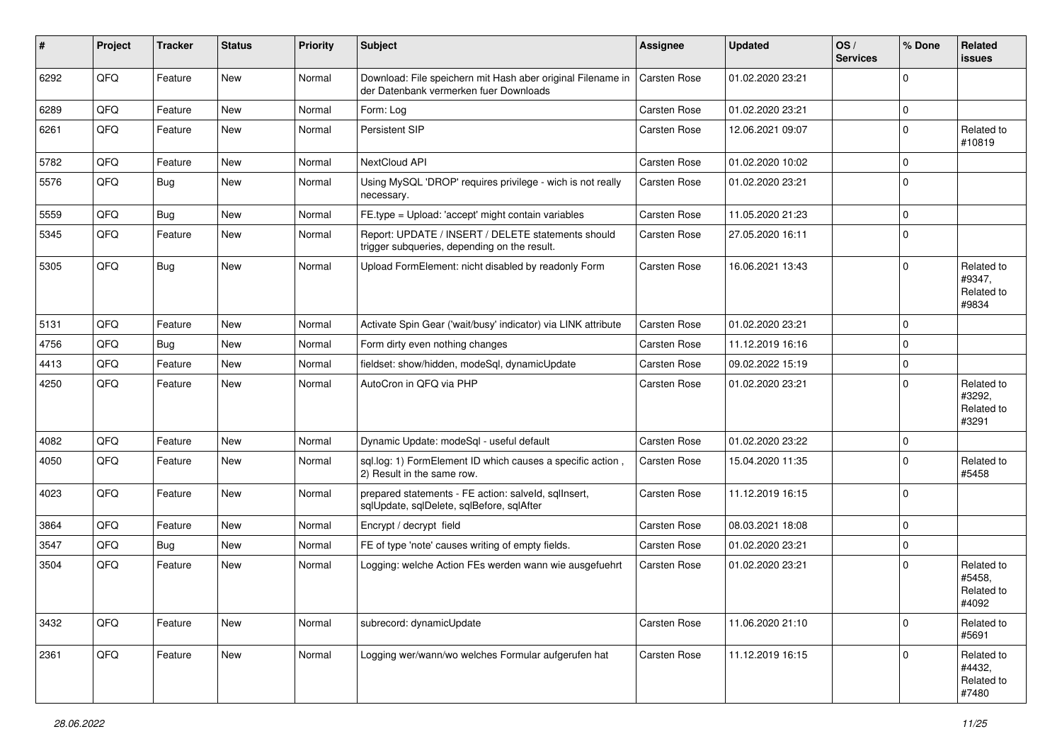| #    | Project | <b>Tracker</b> | <b>Status</b> | <b>Priority</b> | <b>Subject</b>                                                                                        | <b>Assignee</b> | <b>Updated</b>   | OS/<br><b>Services</b> | % Done       | Related<br>issues                           |
|------|---------|----------------|---------------|-----------------|-------------------------------------------------------------------------------------------------------|-----------------|------------------|------------------------|--------------|---------------------------------------------|
| 6292 | QFQ     | Feature        | New           | Normal          | Download: File speichern mit Hash aber original Filename in<br>der Datenbank vermerken fuer Downloads | Carsten Rose    | 01.02.2020 23:21 |                        | 0            |                                             |
| 6289 | QFQ     | Feature        | New           | Normal          | Form: Log                                                                                             | Carsten Rose    | 01.02.2020 23:21 |                        | $\mathbf 0$  |                                             |
| 6261 | QFQ     | Feature        | <b>New</b>    | Normal          | Persistent SIP                                                                                        | Carsten Rose    | 12.06.2021 09:07 |                        | 0            | Related to<br>#10819                        |
| 5782 | QFQ     | Feature        | <b>New</b>    | Normal          | NextCloud API                                                                                         | Carsten Rose    | 01.02.2020 10:02 |                        | $\pmb{0}$    |                                             |
| 5576 | QFQ     | Bug            | New           | Normal          | Using MySQL 'DROP' requires privilege - wich is not really<br>necessary.                              | Carsten Rose    | 01.02.2020 23:21 |                        | $\mathbf 0$  |                                             |
| 5559 | QFQ     | <b>Bug</b>     | <b>New</b>    | Normal          | FE.type = Upload: 'accept' might contain variables                                                    | Carsten Rose    | 11.05.2020 21:23 |                        | $\pmb{0}$    |                                             |
| 5345 | QFQ     | Feature        | <b>New</b>    | Normal          | Report: UPDATE / INSERT / DELETE statements should<br>trigger subqueries, depending on the result.    | Carsten Rose    | 27.05.2020 16:11 |                        | $\mathbf 0$  |                                             |
| 5305 | QFQ     | Bug            | <b>New</b>    | Normal          | Upload FormElement: nicht disabled by readonly Form                                                   | Carsten Rose    | 16.06.2021 13:43 |                        | $\mathbf 0$  | Related to<br>#9347,<br>Related to<br>#9834 |
| 5131 | QFQ     | Feature        | <b>New</b>    | Normal          | Activate Spin Gear ('wait/busy' indicator) via LINK attribute                                         | Carsten Rose    | 01.02.2020 23:21 |                        | 0            |                                             |
| 4756 | QFQ     | Bug            | <b>New</b>    | Normal          | Form dirty even nothing changes                                                                       | Carsten Rose    | 11.12.2019 16:16 |                        | $\mathbf 0$  |                                             |
| 4413 | QFQ     | Feature        | New           | Normal          | fieldset: show/hidden, modeSql, dynamicUpdate                                                         | Carsten Rose    | 09.02.2022 15:19 |                        | $\mathbf 0$  |                                             |
| 4250 | QFQ     | Feature        | <b>New</b>    | Normal          | AutoCron in QFQ via PHP                                                                               | Carsten Rose    | 01.02.2020 23:21 |                        | $\Omega$     | Related to<br>#3292,<br>Related to<br>#3291 |
| 4082 | QFQ     | Feature        | <b>New</b>    | Normal          | Dynamic Update: modeSql - useful default                                                              | Carsten Rose    | 01.02.2020 23:22 |                        | $\mathbf 0$  |                                             |
| 4050 | QFQ     | Feature        | <b>New</b>    | Normal          | sql.log: 1) FormElement ID which causes a specific action,<br>2) Result in the same row.              | Carsten Rose    | 15.04.2020 11:35 |                        | $\mathbf 0$  | Related to<br>#5458                         |
| 4023 | QFQ     | Feature        | <b>New</b>    | Normal          | prepared statements - FE action: salveld, sqlInsert,<br>sqlUpdate, sqlDelete, sqlBefore, sqlAfter     | Carsten Rose    | 11.12.2019 16:15 |                        | $\mathbf 0$  |                                             |
| 3864 | QFQ     | Feature        | <b>New</b>    | Normal          | Encrypt / decrypt field                                                                               | Carsten Rose    | 08.03.2021 18:08 |                        | $\pmb{0}$    |                                             |
| 3547 | QFQ     | <b>Bug</b>     | New           | Normal          | FE of type 'note' causes writing of empty fields.                                                     | Carsten Rose    | 01.02.2020 23:21 |                        | $\mathbf 0$  |                                             |
| 3504 | QFQ     | Feature        | <b>New</b>    | Normal          | Logging: welche Action FEs werden wann wie ausgefuehrt                                                | Carsten Rose    | 01.02.2020 23:21 |                        | $\mathbf 0$  | Related to<br>#5458.<br>Related to<br>#4092 |
| 3432 | QFQ     | Feature        | New           | Normal          | subrecord: dynamicUpdate                                                                              | Carsten Rose    | 11.06.2020 21:10 |                        | $\pmb{0}$    | Related to<br>#5691                         |
| 2361 | QFG     | Feature        | New           | Normal          | Logging wer/wann/wo welches Formular aufgerufen hat                                                   | Carsten Rose    | 11.12.2019 16:15 |                        | $\mathbf{0}$ | Related to<br>#4432,<br>Related to<br>#7480 |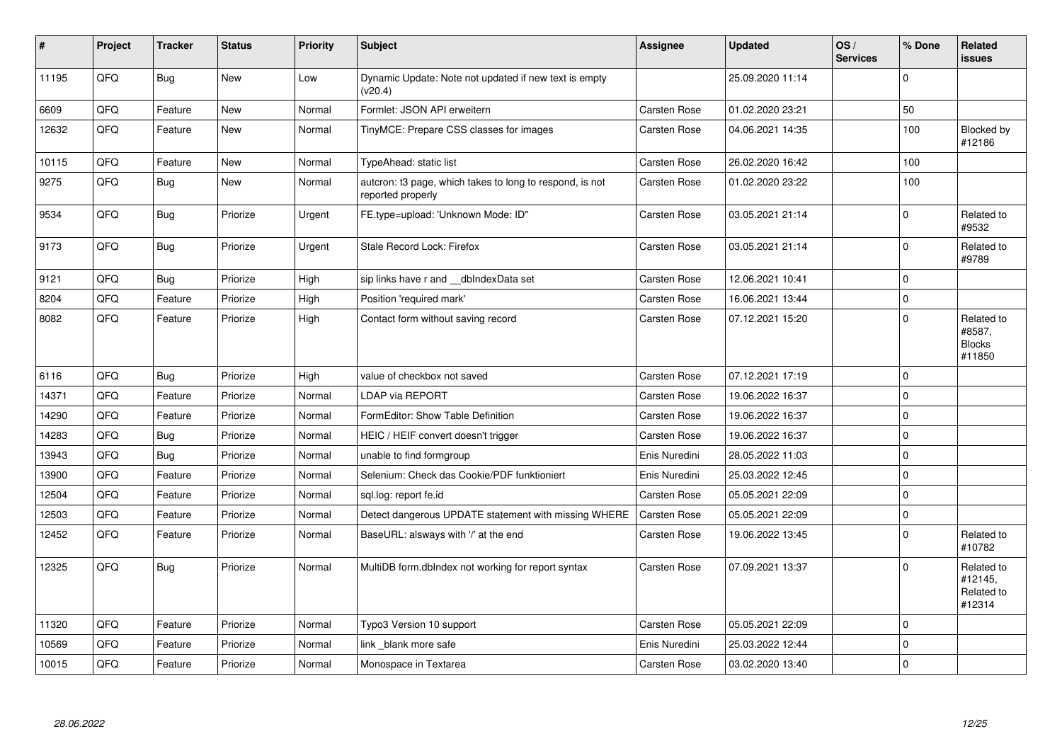| $\vert$ # | Project | <b>Tracker</b> | <b>Status</b> | <b>Priority</b> | <b>Subject</b>                                                                | <b>Assignee</b>     | <b>Updated</b>   | OS/<br><b>Services</b> | % Done       | Related<br><b>issues</b>                        |
|-----------|---------|----------------|---------------|-----------------|-------------------------------------------------------------------------------|---------------------|------------------|------------------------|--------------|-------------------------------------------------|
| 11195     | QFQ     | Bug            | New           | Low             | Dynamic Update: Note not updated if new text is empty<br>(v20.4)              |                     | 25.09.2020 11:14 |                        | $\mathbf{0}$ |                                                 |
| 6609      | QFQ     | Feature        | <b>New</b>    | Normal          | Formlet: JSON API erweitern                                                   | Carsten Rose        | 01.02.2020 23:21 |                        | 50           |                                                 |
| 12632     | QFQ     | Feature        | <b>New</b>    | Normal          | TinyMCE: Prepare CSS classes for images                                       | Carsten Rose        | 04.06.2021 14:35 |                        | 100          | Blocked by<br>#12186                            |
| 10115     | QFQ     | Feature        | <b>New</b>    | Normal          | TypeAhead: static list                                                        | <b>Carsten Rose</b> | 26.02.2020 16:42 |                        | 100          |                                                 |
| 9275      | QFQ     | <b>Bug</b>     | New           | Normal          | autcron: t3 page, which takes to long to respond, is not<br>reported properly | Carsten Rose        | 01.02.2020 23:22 |                        | 100          |                                                 |
| 9534      | QFQ     | <b>Bug</b>     | Priorize      | Urgent          | FE.type=upload: 'Unknown Mode: ID"                                            | Carsten Rose        | 03.05.2021 21:14 |                        | $\pmb{0}$    | Related to<br>#9532                             |
| 9173      | QFQ     | <b>Bug</b>     | Priorize      | Urgent          | Stale Record Lock: Firefox                                                    | Carsten Rose        | 03.05.2021 21:14 |                        | $\pmb{0}$    | Related to<br>#9789                             |
| 9121      | QFQ     | <b>Bug</b>     | Priorize      | High            | sip links have r and __dbIndexData set                                        | Carsten Rose        | 12.06.2021 10:41 |                        | $\mathbf 0$  |                                                 |
| 8204      | QFQ     | Feature        | Priorize      | High            | Position 'required mark'                                                      | Carsten Rose        | 16.06.2021 13:44 |                        | $\mathbf 0$  |                                                 |
| 8082      | QFQ     | Feature        | Priorize      | High            | Contact form without saving record                                            | Carsten Rose        | 07.12.2021 15:20 |                        | $\mathbf 0$  | Related to<br>#8587,<br><b>Blocks</b><br>#11850 |
| 6116      | QFQ     | <b>Bug</b>     | Priorize      | High            | value of checkbox not saved                                                   | Carsten Rose        | 07.12.2021 17:19 |                        | $\mathbf 0$  |                                                 |
| 14371     | QFQ     | Feature        | Priorize      | Normal          | LDAP via REPORT                                                               | Carsten Rose        | 19.06.2022 16:37 |                        | $\mathbf{0}$ |                                                 |
| 14290     | QFQ     | Feature        | Priorize      | Normal          | FormEditor: Show Table Definition                                             | Carsten Rose        | 19.06.2022 16:37 |                        | $\mathbf 0$  |                                                 |
| 14283     | QFQ     | <b>Bug</b>     | Priorize      | Normal          | HEIC / HEIF convert doesn't trigger                                           | Carsten Rose        | 19.06.2022 16:37 |                        | $\mathbf 0$  |                                                 |
| 13943     | QFQ     | <b>Bug</b>     | Priorize      | Normal          | unable to find formgroup                                                      | Enis Nuredini       | 28.05.2022 11:03 |                        | $\pmb{0}$    |                                                 |
| 13900     | QFQ     | Feature        | Priorize      | Normal          | Selenium: Check das Cookie/PDF funktioniert                                   | Enis Nuredini       | 25.03.2022 12:45 |                        | $\mathbf 0$  |                                                 |
| 12504     | QFQ     | Feature        | Priorize      | Normal          | sql.log: report fe.id                                                         | <b>Carsten Rose</b> | 05.05.2021 22:09 |                        | $\mathbf 0$  |                                                 |
| 12503     | QFQ     | Feature        | Priorize      | Normal          | Detect dangerous UPDATE statement with missing WHERE                          | Carsten Rose        | 05.05.2021 22:09 |                        | $\pmb{0}$    |                                                 |
| 12452     | QFQ     | Feature        | Priorize      | Normal          | BaseURL: alsways with '/' at the end                                          | Carsten Rose        | 19.06.2022 13:45 |                        | $\mathbf 0$  | Related to<br>#10782                            |
| 12325     | QFQ     | Bug            | Priorize      | Normal          | MultiDB form.dblndex not working for report syntax                            | Carsten Rose        | 07.09.2021 13:37 |                        | $\mathbf 0$  | Related to<br>#12145,<br>Related to<br>#12314   |
| 11320     | QFQ     | Feature        | Priorize      | Normal          | Typo3 Version 10 support                                                      | Carsten Rose        | 05.05.2021 22:09 |                        | $\mathbf 0$  |                                                 |
| 10569     | QFQ     | Feature        | Priorize      | Normal          | link blank more safe                                                          | Enis Nuredini       | 25.03.2022 12:44 |                        | $\pmb{0}$    |                                                 |
| 10015     | QFQ     | Feature        | Priorize      | Normal          | Monospace in Textarea                                                         | Carsten Rose        | 03.02.2020 13:40 |                        | $\pmb{0}$    |                                                 |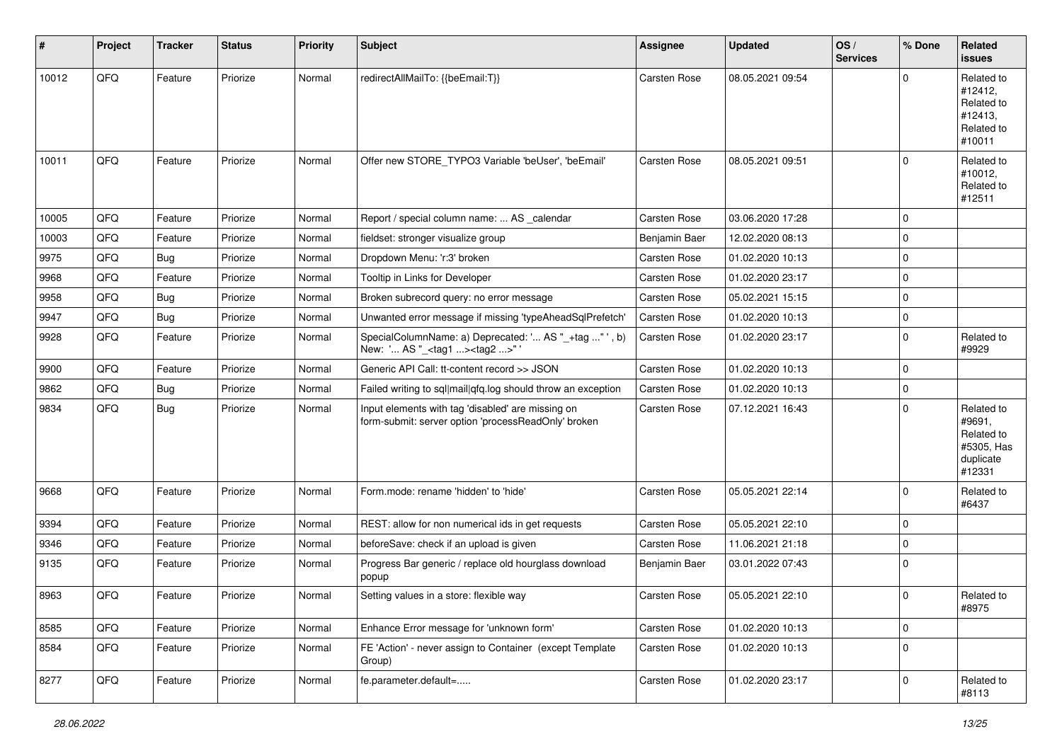| #     | Project | <b>Tracker</b> | <b>Status</b> | <b>Priority</b> | <b>Subject</b>                                                                                           | <b>Assignee</b> | <b>Updated</b>   | OS/<br><b>Services</b> | % Done       | Related<br><b>issues</b>                                                |
|-------|---------|----------------|---------------|-----------------|----------------------------------------------------------------------------------------------------------|-----------------|------------------|------------------------|--------------|-------------------------------------------------------------------------|
| 10012 | QFQ     | Feature        | Priorize      | Normal          | redirectAllMailTo: {{beEmail:T}}                                                                         | Carsten Rose    | 08.05.2021 09:54 |                        | $\Omega$     | Related to<br>#12412,<br>Related to<br>#12413.<br>Related to<br>#10011  |
| 10011 | QFQ     | Feature        | Priorize      | Normal          | Offer new STORE_TYPO3 Variable 'beUser', 'beEmail'                                                       | Carsten Rose    | 08.05.2021 09:51 |                        | $\Omega$     | Related to<br>#10012,<br>Related to<br>#12511                           |
| 10005 | QFQ     | Feature        | Priorize      | Normal          | Report / special column name:  AS calendar                                                               | Carsten Rose    | 03.06.2020 17:28 |                        | $\mathbf 0$  |                                                                         |
| 10003 | QFQ     | Feature        | Priorize      | Normal          | fieldset: stronger visualize group                                                                       | Benjamin Baer   | 12.02.2020 08:13 |                        | $\Omega$     |                                                                         |
| 9975  | QFQ     | <b>Bug</b>     | Priorize      | Normal          | Dropdown Menu: 'r:3' broken                                                                              | Carsten Rose    | 01.02.2020 10:13 |                        | $\mathbf 0$  |                                                                         |
| 9968  | QFQ     | Feature        | Priorize      | Normal          | Tooltip in Links for Developer                                                                           | Carsten Rose    | 01.02.2020 23:17 |                        | $\mathbf 0$  |                                                                         |
| 9958  | QFQ     | <b>Bug</b>     | Priorize      | Normal          | Broken subrecord query: no error message                                                                 | Carsten Rose    | 05.02.2021 15:15 |                        | $\mathbf 0$  |                                                                         |
| 9947  | QFQ     | <b>Bug</b>     | Priorize      | Normal          | Unwanted error message if missing 'typeAheadSqlPrefetch'                                                 | Carsten Rose    | 01.02.2020 10:13 |                        | $\mathbf 0$  |                                                                         |
| 9928  | QFQ     | Feature        | Priorize      | Normal          | SpecialColumnName: a) Deprecated: ' AS "_+tag " ', b)<br>New: ' AS "_ <tag1><tag2>"'</tag2></tag1>       | Carsten Rose    | 01.02.2020 23:17 |                        | $\mathbf 0$  | Related to<br>#9929                                                     |
| 9900  | QFQ     | Feature        | Priorize      | Normal          | Generic API Call: tt-content record >> JSON                                                              | Carsten Rose    | 01.02.2020 10:13 |                        | $\mathbf 0$  |                                                                         |
| 9862  | QFQ     | <b>Bug</b>     | Priorize      | Normal          | Failed writing to sql mail qfq.log should throw an exception                                             | Carsten Rose    | 01.02.2020 10:13 |                        | $\mathbf 0$  |                                                                         |
| 9834  | QFQ     | Bug            | Priorize      | Normal          | Input elements with tag 'disabled' are missing on<br>form-submit: server option 'processReadOnly' broken | Carsten Rose    | 07.12.2021 16:43 |                        | $\mathbf 0$  | Related to<br>#9691,<br>Related to<br>#5305, Has<br>duplicate<br>#12331 |
| 9668  | QFQ     | Feature        | Priorize      | Normal          | Form.mode: rename 'hidden' to 'hide'                                                                     | Carsten Rose    | 05.05.2021 22:14 |                        | $\Omega$     | Related to<br>#6437                                                     |
| 9394  | QFQ     | Feature        | Priorize      | Normal          | REST: allow for non numerical ids in get requests                                                        | Carsten Rose    | 05.05.2021 22:10 |                        | $\mathbf 0$  |                                                                         |
| 9346  | QFQ     | Feature        | Priorize      | Normal          | beforeSave: check if an upload is given                                                                  | Carsten Rose    | 11.06.2021 21:18 |                        | $\mathbf 0$  |                                                                         |
| 9135  | QFQ     | Feature        | Priorize      | Normal          | Progress Bar generic / replace old hourglass download<br>popup                                           | Benjamin Baer   | 03.01.2022 07:43 |                        | $\mathbf{0}$ |                                                                         |
| 8963  | QFQ     | Feature        | Priorize      | Normal          | Setting values in a store: flexible way                                                                  | Carsten Rose    | 05.05.2021 22:10 |                        | $\mathbf{0}$ | Related to<br>#8975                                                     |
| 8585  | QFQ     | Feature        | Priorize      | Normal          | Enhance Error message for 'unknown form'                                                                 | Carsten Rose    | 01.02.2020 10:13 |                        | $\mathbf 0$  |                                                                         |
| 8584  | QFQ     | Feature        | Priorize      | Normal          | FE 'Action' - never assign to Container (except Template<br>Group)                                       | Carsten Rose    | 01.02.2020 10:13 |                        | $\mathbf 0$  |                                                                         |
| 8277  | QFQ     | Feature        | Priorize      | Normal          | fe.parameter.default=                                                                                    | Carsten Rose    | 01.02.2020 23:17 |                        | $\mathbf 0$  | Related to<br>#8113                                                     |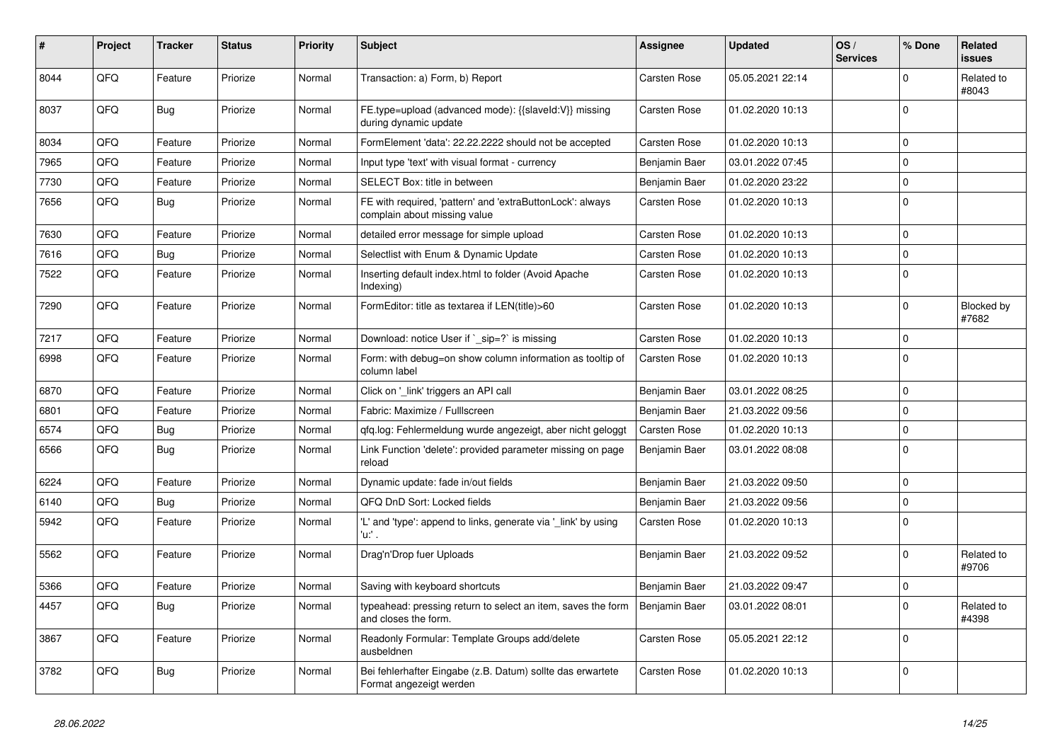| #    | Project | <b>Tracker</b> | <b>Status</b> | <b>Priority</b> | <b>Subject</b>                                                                            | <b>Assignee</b> | <b>Updated</b>   | OS/<br><b>Services</b> | % Done       | Related<br><b>issues</b> |
|------|---------|----------------|---------------|-----------------|-------------------------------------------------------------------------------------------|-----------------|------------------|------------------------|--------------|--------------------------|
| 8044 | QFQ     | Feature        | Priorize      | Normal          | Transaction: a) Form, b) Report                                                           | Carsten Rose    | 05.05.2021 22:14 |                        | $\Omega$     | Related to<br>#8043      |
| 8037 | QFQ     | Bug            | Priorize      | Normal          | FE.type=upload (advanced mode): {{slaveld:V}} missing<br>during dynamic update            | Carsten Rose    | 01.02.2020 10:13 |                        | $\mathbf 0$  |                          |
| 8034 | QFQ     | Feature        | Priorize      | Normal          | FormElement 'data': 22.22.2222 should not be accepted                                     | Carsten Rose    | 01.02.2020 10:13 |                        | $\mathbf 0$  |                          |
| 7965 | QFQ     | Feature        | Priorize      | Normal          | Input type 'text' with visual format - currency                                           | Benjamin Baer   | 03.01.2022 07:45 |                        | $\mathbf 0$  |                          |
| 7730 | QFQ     | Feature        | Priorize      | Normal          | SELECT Box: title in between                                                              | Benjamin Baer   | 01.02.2020 23:22 |                        | $\mathbf 0$  |                          |
| 7656 | QFQ     | <b>Bug</b>     | Priorize      | Normal          | FE with required, 'pattern' and 'extraButtonLock': always<br>complain about missing value | Carsten Rose    | 01.02.2020 10:13 |                        | $\mathbf 0$  |                          |
| 7630 | QFQ     | Feature        | Priorize      | Normal          | detailed error message for simple upload                                                  | Carsten Rose    | 01.02.2020 10:13 |                        | $\mathbf 0$  |                          |
| 7616 | QFQ     | <b>Bug</b>     | Priorize      | Normal          | Selectlist with Enum & Dynamic Update                                                     | Carsten Rose    | 01.02.2020 10:13 |                        | $\pmb{0}$    |                          |
| 7522 | QFQ     | Feature        | Priorize      | Normal          | Inserting default index.html to folder (Avoid Apache<br>Indexing)                         | Carsten Rose    | 01.02.2020 10:13 |                        | $\Omega$     |                          |
| 7290 | QFQ     | Feature        | Priorize      | Normal          | FormEditor: title as textarea if LEN(title)>60                                            | Carsten Rose    | 01.02.2020 10:13 |                        | $\mathbf{0}$ | Blocked by<br>#7682      |
| 7217 | QFQ     | Feature        | Priorize      | Normal          | Download: notice User if `_sip=?` is missing                                              | Carsten Rose    | 01.02.2020 10:13 |                        | $\mathbf 0$  |                          |
| 6998 | QFQ     | Feature        | Priorize      | Normal          | Form: with debug=on show column information as tooltip of<br>column label                 | Carsten Rose    | 01.02.2020 10:13 |                        | $\mathbf 0$  |                          |
| 6870 | QFQ     | Feature        | Priorize      | Normal          | Click on '_link' triggers an API call                                                     | Benjamin Baer   | 03.01.2022 08:25 |                        | $\mathbf 0$  |                          |
| 6801 | QFQ     | Feature        | Priorize      | Normal          | Fabric: Maximize / FullIscreen                                                            | Benjamin Baer   | 21.03.2022 09:56 |                        | $\mathbf 0$  |                          |
| 6574 | QFQ     | Bug            | Priorize      | Normal          | qfq.log: Fehlermeldung wurde angezeigt, aber nicht geloggt                                | Carsten Rose    | 01.02.2020 10:13 |                        | $\pmb{0}$    |                          |
| 6566 | QFQ     | <b>Bug</b>     | Priorize      | Normal          | Link Function 'delete': provided parameter missing on page<br>reload                      | Benjamin Baer   | 03.01.2022 08:08 |                        | $\mathbf 0$  |                          |
| 6224 | QFQ     | Feature        | Priorize      | Normal          | Dynamic update: fade in/out fields                                                        | Benjamin Baer   | 21.03.2022 09:50 |                        | $\mathbf 0$  |                          |
| 6140 | QFQ     | <b>Bug</b>     | Priorize      | Normal          | QFQ DnD Sort: Locked fields                                                               | Benjamin Baer   | 21.03.2022 09:56 |                        | $\mathbf 0$  |                          |
| 5942 | QFQ     | Feature        | Priorize      | Normal          | 'L' and 'type': append to links, generate via 'link' by using<br>'u:' .                   | Carsten Rose    | 01.02.2020 10:13 |                        | $\mathbf 0$  |                          |
| 5562 | QFQ     | Feature        | Priorize      | Normal          | Drag'n'Drop fuer Uploads                                                                  | Benjamin Baer   | 21.03.2022 09:52 |                        | $\Omega$     | Related to<br>#9706      |
| 5366 | QFQ     | Feature        | Priorize      | Normal          | Saving with keyboard shortcuts                                                            | Benjamin Baer   | 21.03.2022 09:47 |                        | $\mathbf 0$  |                          |
| 4457 | QFQ     | Bug            | Priorize      | Normal          | typeahead: pressing return to select an item, saves the form<br>and closes the form.      | Benjamin Baer   | 03.01.2022 08:01 |                        | $\mathbf 0$  | Related to<br>#4398      |
| 3867 | QFQ     | Feature        | Priorize      | Normal          | Readonly Formular: Template Groups add/delete<br>ausbeldnen                               | Carsten Rose    | 05.05.2021 22:12 |                        | $\Omega$     |                          |
| 3782 | QFQ     | Bug            | Priorize      | Normal          | Bei fehlerhafter Eingabe (z.B. Datum) sollte das erwartete<br>Format angezeigt werden     | Carsten Rose    | 01.02.2020 10:13 |                        | $\mathbf 0$  |                          |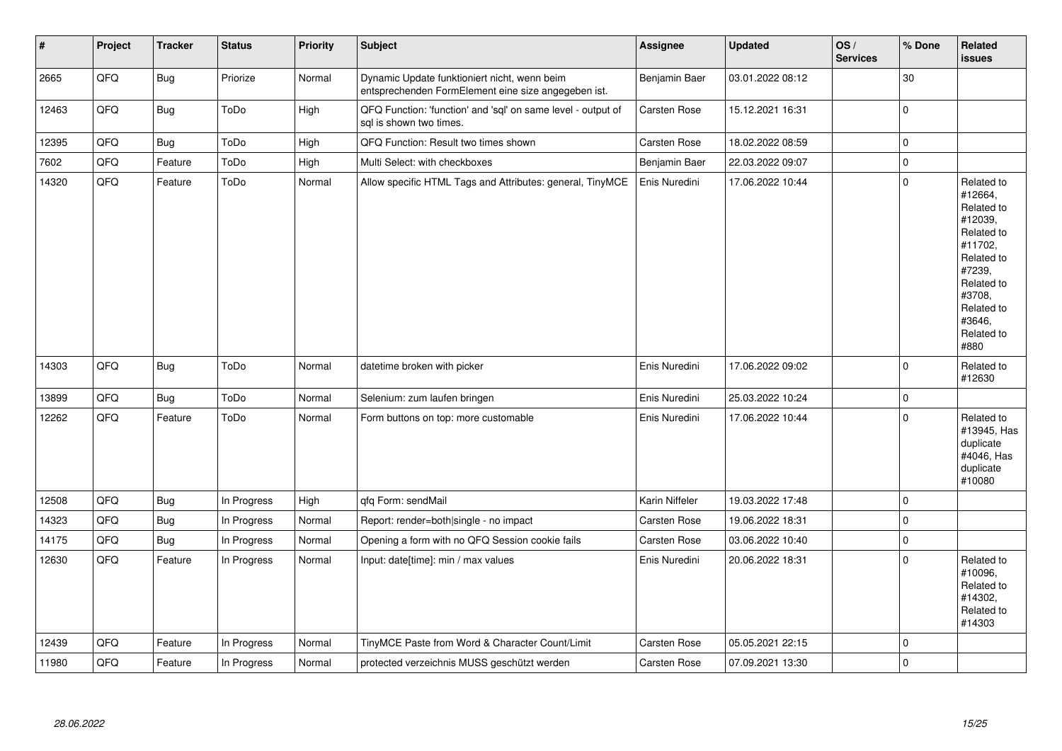| #     | Project | <b>Tracker</b> | <b>Status</b> | Priority | <b>Subject</b>                                                                                      | <b>Assignee</b>     | <b>Updated</b>   | OS/<br><b>Services</b> | % Done      | Related<br><b>issues</b>                                                                                                                                              |
|-------|---------|----------------|---------------|----------|-----------------------------------------------------------------------------------------------------|---------------------|------------------|------------------------|-------------|-----------------------------------------------------------------------------------------------------------------------------------------------------------------------|
| 2665  | QFQ     | <b>Bug</b>     | Priorize      | Normal   | Dynamic Update funktioniert nicht, wenn beim<br>entsprechenden FormElement eine size angegeben ist. | Benjamin Baer       | 03.01.2022 08:12 |                        | 30          |                                                                                                                                                                       |
| 12463 | QFQ     | <b>Bug</b>     | ToDo          | High     | QFQ Function: 'function' and 'sql' on same level - output of<br>sql is shown two times.             | Carsten Rose        | 15.12.2021 16:31 |                        | $\mathbf 0$ |                                                                                                                                                                       |
| 12395 | QFQ     | <b>Bug</b>     | ToDo          | High     | QFQ Function: Result two times shown                                                                | Carsten Rose        | 18.02.2022 08:59 |                        | $\pmb{0}$   |                                                                                                                                                                       |
| 7602  | QFQ     | Feature        | ToDo          | High     | Multi Select: with checkboxes                                                                       | Benjamin Baer       | 22.03.2022 09:07 |                        | $\mathbf 0$ |                                                                                                                                                                       |
| 14320 | QFQ     | Feature        | ToDo          | Normal   | Allow specific HTML Tags and Attributes: general, TinyMCE                                           | Enis Nuredini       | 17.06.2022 10:44 |                        | $\mathbf 0$ | Related to<br>#12664,<br>Related to<br>#12039,<br>Related to<br>#11702.<br>Related to<br>#7239,<br>Related to<br>#3708,<br>Related to<br>#3646.<br>Related to<br>#880 |
| 14303 | QFQ     | Bug            | ToDo          | Normal   | datetime broken with picker                                                                         | Enis Nuredini       | 17.06.2022 09:02 |                        | $\Omega$    | Related to<br>#12630                                                                                                                                                  |
| 13899 | QFQ     | <b>Bug</b>     | ToDo          | Normal   | Selenium: zum laufen bringen                                                                        | Enis Nuredini       | 25.03.2022 10:24 |                        | $\mathbf 0$ |                                                                                                                                                                       |
| 12262 | QFQ     | Feature        | ToDo          | Normal   | Form buttons on top: more customable                                                                | Enis Nuredini       | 17.06.2022 10:44 |                        | $\mathbf 0$ | Related to<br>#13945, Has<br>duplicate<br>#4046, Has<br>duplicate<br>#10080                                                                                           |
| 12508 | QFQ     | <b>Bug</b>     | In Progress   | High     | qfq Form: sendMail                                                                                  | Karin Niffeler      | 19.03.2022 17:48 |                        | $\mathbf 0$ |                                                                                                                                                                       |
| 14323 | QFQ     | <b>Bug</b>     | In Progress   | Normal   | Report: render=both single - no impact                                                              | Carsten Rose        | 19.06.2022 18:31 |                        | $\mathbf 0$ |                                                                                                                                                                       |
| 14175 | QFQ     | <b>Bug</b>     | In Progress   | Normal   | Opening a form with no QFQ Session cookie fails                                                     | Carsten Rose        | 03.06.2022 10:40 |                        | 0           |                                                                                                                                                                       |
| 12630 | QFQ     | Feature        | In Progress   | Normal   | Input: date[time]: min / max values                                                                 | Enis Nuredini       | 20.06.2022 18:31 |                        | $\Omega$    | Related to<br>#10096,<br>Related to<br>#14302,<br>Related to<br>#14303                                                                                                |
| 12439 | QFQ     | Feature        | In Progress   | Normal   | TinyMCE Paste from Word & Character Count/Limit                                                     | Carsten Rose        | 05.05.2021 22:15 |                        | $\mathbf 0$ |                                                                                                                                                                       |
| 11980 | QFQ     | Feature        | In Progress   | Normal   | protected verzeichnis MUSS geschützt werden                                                         | <b>Carsten Rose</b> | 07.09.2021 13:30 |                        | $\Omega$    |                                                                                                                                                                       |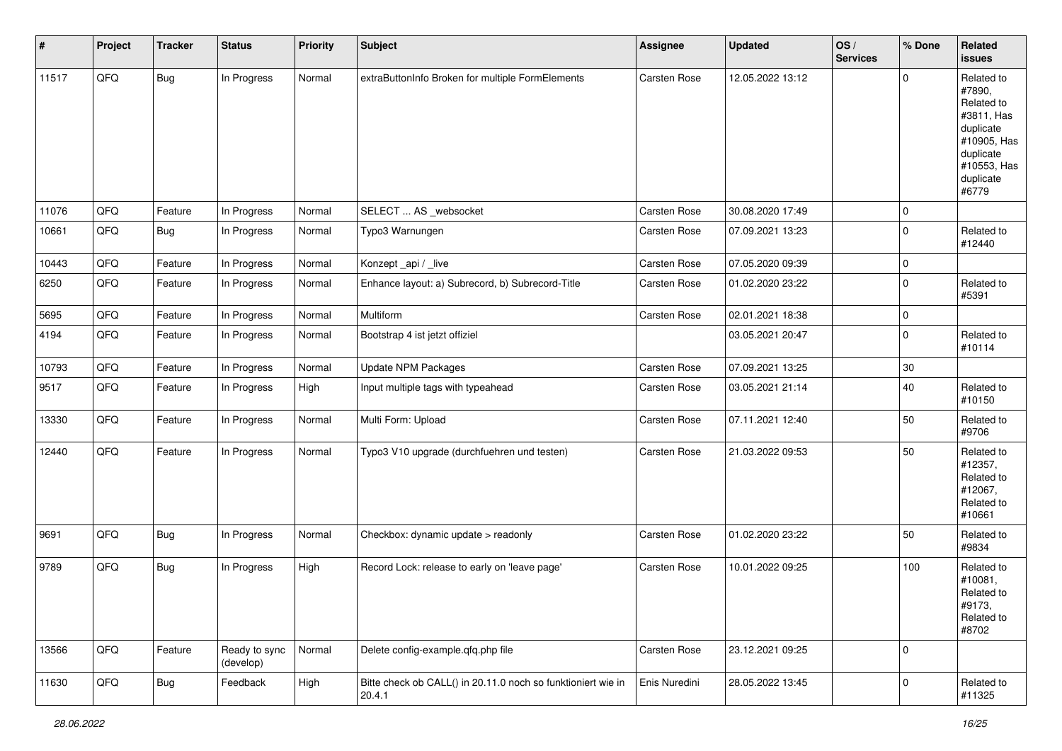| #     | Project | <b>Tracker</b> | <b>Status</b>              | <b>Priority</b> | <b>Subject</b>                                                         | <b>Assignee</b>     | <b>Updated</b>   | OS/<br><b>Services</b> | % Done      | Related<br>issues                                                                                                              |
|-------|---------|----------------|----------------------------|-----------------|------------------------------------------------------------------------|---------------------|------------------|------------------------|-------------|--------------------------------------------------------------------------------------------------------------------------------|
| 11517 | QFQ     | <b>Bug</b>     | In Progress                | Normal          | extraButtonInfo Broken for multiple FormElements                       | Carsten Rose        | 12.05.2022 13:12 |                        | $\mathbf 0$ | Related to<br>#7890,<br>Related to<br>#3811, Has<br>duplicate<br>#10905, Has<br>duplicate<br>#10553, Has<br>duplicate<br>#6779 |
| 11076 | QFQ     | Feature        | In Progress                | Normal          | SELECT  AS _websocket                                                  | <b>Carsten Rose</b> | 30.08.2020 17:49 |                        | $\pmb{0}$   |                                                                                                                                |
| 10661 | QFQ     | Bug            | In Progress                | Normal          | Typo3 Warnungen                                                        | Carsten Rose        | 07.09.2021 13:23 |                        | $\mathbf 0$ | Related to<br>#12440                                                                                                           |
| 10443 | QFQ     | Feature        | In Progress                | Normal          | Konzept_api / _live                                                    | Carsten Rose        | 07.05.2020 09:39 |                        | $\pmb{0}$   |                                                                                                                                |
| 6250  | QFQ     | Feature        | In Progress                | Normal          | Enhance layout: a) Subrecord, b) Subrecord-Title                       | Carsten Rose        | 01.02.2020 23:22 |                        | $\pmb{0}$   | Related to<br>#5391                                                                                                            |
| 5695  | QFQ     | Feature        | In Progress                | Normal          | Multiform                                                              | Carsten Rose        | 02.01.2021 18:38 |                        | $\pmb{0}$   |                                                                                                                                |
| 4194  | QFQ     | Feature        | In Progress                | Normal          | Bootstrap 4 ist jetzt offiziel                                         |                     | 03.05.2021 20:47 |                        | $\mathbf 0$ | Related to<br>#10114                                                                                                           |
| 10793 | QFQ     | Feature        | In Progress                | Normal          | Update NPM Packages                                                    | Carsten Rose        | 07.09.2021 13:25 |                        | 30          |                                                                                                                                |
| 9517  | QFQ     | Feature        | In Progress                | High            | Input multiple tags with typeahead                                     | Carsten Rose        | 03.05.2021 21:14 |                        | 40          | Related to<br>#10150                                                                                                           |
| 13330 | QFQ     | Feature        | In Progress                | Normal          | Multi Form: Upload                                                     | Carsten Rose        | 07.11.2021 12:40 |                        | 50          | Related to<br>#9706                                                                                                            |
| 12440 | QFQ     | Feature        | In Progress                | Normal          | Typo3 V10 upgrade (durchfuehren und testen)                            | Carsten Rose        | 21.03.2022 09:53 |                        | 50          | Related to<br>#12357,<br>Related to<br>#12067,<br>Related to<br>#10661                                                         |
| 9691  | QFQ     | Bug            | In Progress                | Normal          | Checkbox: dynamic update > readonly                                    | Carsten Rose        | 01.02.2020 23:22 |                        | 50          | Related to<br>#9834                                                                                                            |
| 9789  | QFQ     | <b>Bug</b>     | In Progress                | High            | Record Lock: release to early on 'leave page'                          | Carsten Rose        | 10.01.2022 09:25 |                        | 100         | Related to<br>#10081,<br>Related to<br>#9173,<br>Related to<br>#8702                                                           |
| 13566 | QFQ     | Feature        | Ready to sync<br>(develop) | Normal          | Delete config-example.qfq.php file                                     | Carsten Rose        | 23.12.2021 09:25 |                        | $\pmb{0}$   |                                                                                                                                |
| 11630 | QFQ     | <b>Bug</b>     | Feedback                   | High            | Bitte check ob CALL() in 20.11.0 noch so funktioniert wie in<br>20.4.1 | Enis Nuredini       | 28.05.2022 13:45 |                        | $\pmb{0}$   | Related to<br>#11325                                                                                                           |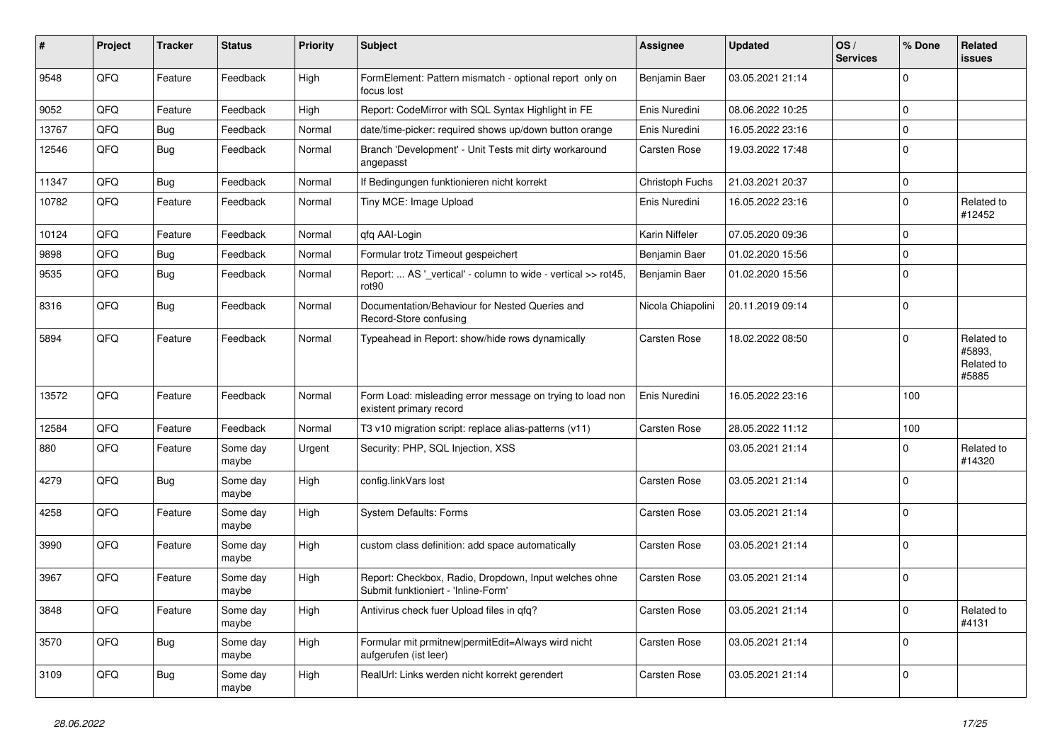| #     | Project | <b>Tracker</b> | <b>Status</b>     | <b>Priority</b> | Subject                                                                                      | <b>Assignee</b>   | <b>Updated</b>   | OS/<br><b>Services</b> | % Done      | <b>Related</b><br>issues                    |
|-------|---------|----------------|-------------------|-----------------|----------------------------------------------------------------------------------------------|-------------------|------------------|------------------------|-------------|---------------------------------------------|
| 9548  | QFQ     | Feature        | Feedback          | High            | FormElement: Pattern mismatch - optional report only on<br>focus lost                        | Benjamin Baer     | 03.05.2021 21:14 |                        | $\Omega$    |                                             |
| 9052  | QFQ     | Feature        | Feedback          | High            | Report: CodeMirror with SQL Syntax Highlight in FE                                           | Enis Nuredini     | 08.06.2022 10:25 |                        | $\mathbf 0$ |                                             |
| 13767 | QFQ     | Bug            | Feedback          | Normal          | date/time-picker: required shows up/down button orange                                       | Enis Nuredini     | 16.05.2022 23:16 |                        | $\Omega$    |                                             |
| 12546 | QFQ     | <b>Bug</b>     | Feedback          | Normal          | Branch 'Development' - Unit Tests mit dirty workaround<br>angepasst                          | Carsten Rose      | 19.03.2022 17:48 |                        | $\mathbf 0$ |                                             |
| 11347 | QFQ     | Bug            | Feedback          | Normal          | If Bedingungen funktionieren nicht korrekt                                                   | Christoph Fuchs   | 21.03.2021 20:37 |                        | 0           |                                             |
| 10782 | QFQ     | Feature        | Feedback          | Normal          | Tiny MCE: Image Upload                                                                       | Enis Nuredini     | 16.05.2022 23:16 |                        | $\mathbf 0$ | Related to<br>#12452                        |
| 10124 | QFQ     | Feature        | Feedback          | Normal          | qfq AAI-Login                                                                                | Karin Niffeler    | 07.05.2020 09:36 |                        | $\mathbf 0$ |                                             |
| 9898  | QFQ     | <b>Bug</b>     | Feedback          | Normal          | Formular trotz Timeout gespeichert                                                           | Benjamin Baer     | 01.02.2020 15:56 |                        | $\Omega$    |                                             |
| 9535  | QFQ     | <b>Bug</b>     | Feedback          | Normal          | Report:  AS '_vertical' - column to wide - vertical >> rot45,<br>rot90                       | Benjamin Baer     | 01.02.2020 15:56 |                        | $\Omega$    |                                             |
| 8316  | QFQ     | Bug            | Feedback          | Normal          | Documentation/Behaviour for Nested Queries and<br>Record-Store confusing                     | Nicola Chiapolini | 20.11.2019 09:14 |                        | $\mathbf 0$ |                                             |
| 5894  | QFQ     | Feature        | Feedback          | Normal          | Typeahead in Report: show/hide rows dynamically                                              | Carsten Rose      | 18.02.2022 08:50 |                        | $\Omega$    | Related to<br>#5893,<br>Related to<br>#5885 |
| 13572 | QFQ     | Feature        | Feedback          | Normal          | Form Load: misleading error message on trying to load non<br>existent primary record         | Enis Nuredini     | 16.05.2022 23:16 |                        | 100         |                                             |
| 12584 | QFQ     | Feature        | Feedback          | Normal          | T3 v10 migration script: replace alias-patterns (v11)                                        | Carsten Rose      | 28.05.2022 11:12 |                        | 100         |                                             |
| 880   | QFQ     | Feature        | Some day<br>maybe | Urgent          | Security: PHP, SQL Injection, XSS                                                            |                   | 03.05.2021 21:14 |                        | $\Omega$    | Related to<br>#14320                        |
| 4279  | QFQ     | <b>Bug</b>     | Some day<br>maybe | High            | config.linkVars lost                                                                         | Carsten Rose      | 03.05.2021 21:14 |                        | $\Omega$    |                                             |
| 4258  | QFQ     | Feature        | Some day<br>maybe | High            | <b>System Defaults: Forms</b>                                                                | Carsten Rose      | 03.05.2021 21:14 |                        | $\Omega$    |                                             |
| 3990  | QFQ     | Feature        | Some day<br>maybe | High            | custom class definition: add space automatically                                             | Carsten Rose      | 03.05.2021 21:14 |                        | $\mathbf 0$ |                                             |
| 3967  | QFQ     | Feature        | Some day<br>maybe | High            | Report: Checkbox, Radio, Dropdown, Input welches ohne<br>Submit funktioniert - 'Inline-Form' | Carsten Rose      | 03.05.2021 21:14 |                        | $\mathbf 0$ |                                             |
| 3848  | QFQ     | Feature        | Some day<br>maybe | High            | Antivirus check fuer Upload files in qfq?                                                    | Carsten Rose      | 03.05.2021 21:14 |                        | $\pmb{0}$   | Related to<br>#4131                         |
| 3570  | QFQ     | Bug            | Some day<br>maybe | High            | Formular mit prmitnew permitEdit=Always wird nicht<br>aufgerufen (ist leer)                  | Carsten Rose      | 03.05.2021 21:14 |                        | 0           |                                             |
| 3109  | QFQ     | Bug            | Some day<br>maybe | High            | RealUrl: Links werden nicht korrekt gerendert                                                | Carsten Rose      | 03.05.2021 21:14 |                        | $\pmb{0}$   |                                             |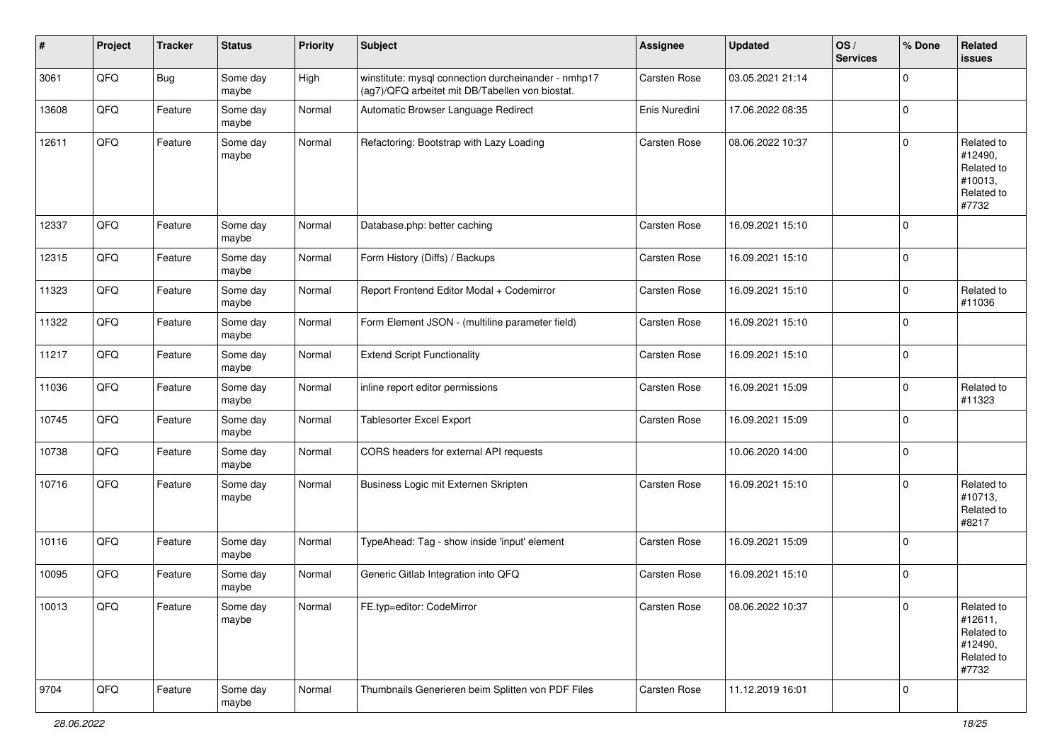| #     | Project | <b>Tracker</b> | <b>Status</b>     | <b>Priority</b> | <b>Subject</b>                                                                                         | <b>Assignee</b> | <b>Updated</b>   | OS/<br><b>Services</b> | % Done      | Related<br>issues                                                     |
|-------|---------|----------------|-------------------|-----------------|--------------------------------------------------------------------------------------------------------|-----------------|------------------|------------------------|-------------|-----------------------------------------------------------------------|
| 3061  | QFQ     | Bug            | Some day<br>maybe | High            | winstitute: mysql connection durcheinander - nmhp17<br>(ag7)/QFQ arbeitet mit DB/Tabellen von biostat. | Carsten Rose    | 03.05.2021 21:14 |                        | $\mathbf 0$ |                                                                       |
| 13608 | QFQ     | Feature        | Some day<br>maybe | Normal          | Automatic Browser Language Redirect                                                                    | Enis Nuredini   | 17.06.2022 08:35 |                        | $\mathbf 0$ |                                                                       |
| 12611 | QFQ     | Feature        | Some day<br>maybe | Normal          | Refactoring: Bootstrap with Lazy Loading                                                               | Carsten Rose    | 08.06.2022 10:37 |                        | $\mathbf 0$ | Related to<br>#12490,<br>Related to<br>#10013,<br>Related to<br>#7732 |
| 12337 | QFQ     | Feature        | Some day<br>maybe | Normal          | Database.php: better caching                                                                           | Carsten Rose    | 16.09.2021 15:10 |                        | $\mathbf 0$ |                                                                       |
| 12315 | QFQ     | Feature        | Some day<br>maybe | Normal          | Form History (Diffs) / Backups                                                                         | Carsten Rose    | 16.09.2021 15:10 |                        | $\mathbf 0$ |                                                                       |
| 11323 | QFQ     | Feature        | Some day<br>maybe | Normal          | Report Frontend Editor Modal + Codemirror                                                              | Carsten Rose    | 16.09.2021 15:10 |                        | $\pmb{0}$   | Related to<br>#11036                                                  |
| 11322 | QFQ     | Feature        | Some day<br>maybe | Normal          | Form Element JSON - (multiline parameter field)                                                        | Carsten Rose    | 16.09.2021 15:10 |                        | $\mathbf 0$ |                                                                       |
| 11217 | QFQ     | Feature        | Some day<br>maybe | Normal          | <b>Extend Script Functionality</b>                                                                     | Carsten Rose    | 16.09.2021 15:10 |                        | $\mathbf 0$ |                                                                       |
| 11036 | QFQ     | Feature        | Some day<br>maybe | Normal          | inline report editor permissions                                                                       | Carsten Rose    | 16.09.2021 15:09 |                        | $\mathbf 0$ | Related to<br>#11323                                                  |
| 10745 | QFQ     | Feature        | Some day<br>maybe | Normal          | <b>Tablesorter Excel Export</b>                                                                        | Carsten Rose    | 16.09.2021 15:09 |                        | $\mathbf 0$ |                                                                       |
| 10738 | QFQ     | Feature        | Some day<br>maybe | Normal          | CORS headers for external API requests                                                                 |                 | 10.06.2020 14:00 |                        | $\mathbf 0$ |                                                                       |
| 10716 | QFQ     | Feature        | Some day<br>maybe | Normal          | Business Logic mit Externen Skripten                                                                   | Carsten Rose    | 16.09.2021 15:10 |                        | 0           | Related to<br>#10713,<br>Related to<br>#8217                          |
| 10116 | QFQ     | Feature        | Some day<br>maybe | Normal          | TypeAhead: Tag - show inside 'input' element                                                           | Carsten Rose    | 16.09.2021 15:09 |                        | $\mathbf 0$ |                                                                       |
| 10095 | QFQ     | Feature        | Some day<br>maybe | Normal          | Generic Gitlab Integration into QFQ                                                                    | Carsten Rose    | 16.09.2021 15:10 |                        | $\mathbf 0$ |                                                                       |
| 10013 | QFQ     | Feature        | Some day<br>maybe | Normal          | FE.typ=editor: CodeMirror                                                                              | Carsten Rose    | 08.06.2022 10:37 |                        | $\mathbf 0$ | Related to<br>#12611,<br>Related to<br>#12490,<br>Related to<br>#7732 |
| 9704  | QFO     | Feature        | Some day<br>maybe | Normal          | Thumbnails Generieren beim Splitten von PDF Files                                                      | Carsten Rose    | 11.12.2019 16:01 |                        | $\pmb{0}$   |                                                                       |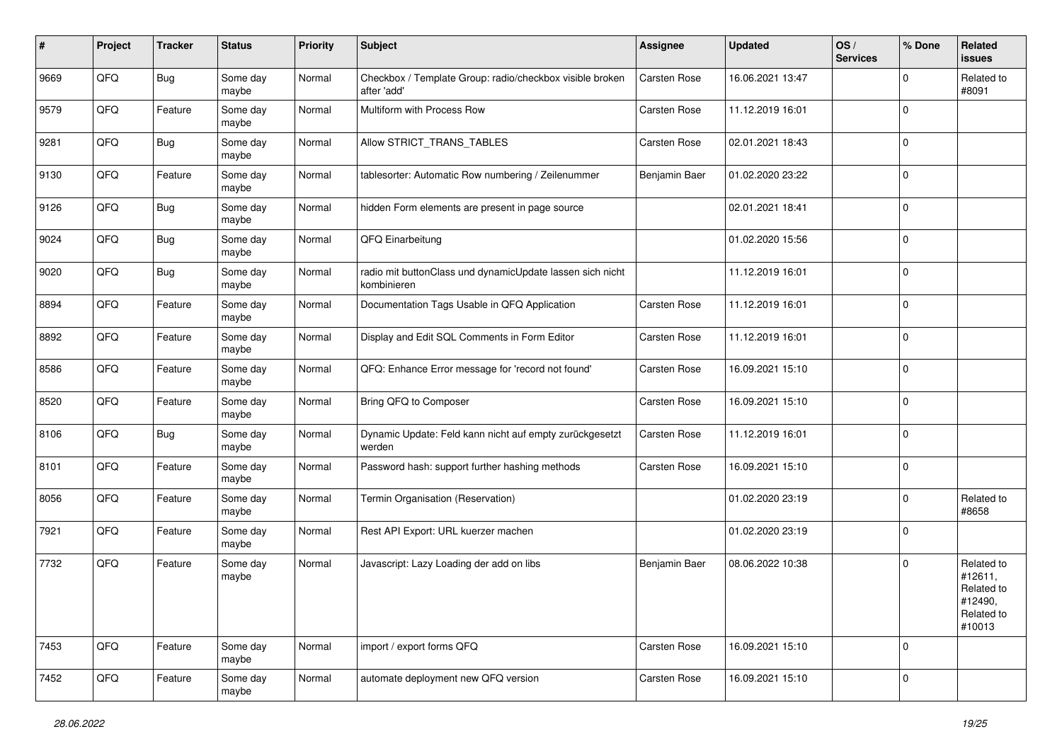| ∦    | Project | <b>Tracker</b> | <b>Status</b>     | <b>Priority</b> | Subject                                                                  | <b>Assignee</b> | <b>Updated</b>   | OS/<br><b>Services</b> | % Done       | Related<br><b>issues</b>                                               |
|------|---------|----------------|-------------------|-----------------|--------------------------------------------------------------------------|-----------------|------------------|------------------------|--------------|------------------------------------------------------------------------|
| 9669 | QFQ     | <b>Bug</b>     | Some day<br>maybe | Normal          | Checkbox / Template Group: radio/checkbox visible broken<br>after 'add'  | Carsten Rose    | 16.06.2021 13:47 |                        | $\Omega$     | Related to<br>#8091                                                    |
| 9579 | QFQ     | Feature        | Some day<br>maybe | Normal          | Multiform with Process Row                                               | Carsten Rose    | 11.12.2019 16:01 |                        | $\mathbf 0$  |                                                                        |
| 9281 | QFQ     | Bug            | Some day<br>maybe | Normal          | Allow STRICT_TRANS_TABLES                                                | Carsten Rose    | 02.01.2021 18:43 |                        | $\Omega$     |                                                                        |
| 9130 | QFQ     | Feature        | Some day<br>maybe | Normal          | tablesorter: Automatic Row numbering / Zeilenummer                       | Benjamin Baer   | 01.02.2020 23:22 |                        | $\mathbf 0$  |                                                                        |
| 9126 | QFQ     | Bug            | Some day<br>maybe | Normal          | hidden Form elements are present in page source                          |                 | 02.01.2021 18:41 |                        | $\mathbf 0$  |                                                                        |
| 9024 | QFQ     | <b>Bug</b>     | Some day<br>maybe | Normal          | QFQ Einarbeitung                                                         |                 | 01.02.2020 15:56 |                        | $\mathbf 0$  |                                                                        |
| 9020 | QFQ     | <b>Bug</b>     | Some day<br>maybe | Normal          | radio mit buttonClass und dynamicUpdate lassen sich nicht<br>kombinieren |                 | 11.12.2019 16:01 |                        | $\mathbf 0$  |                                                                        |
| 8894 | QFQ     | Feature        | Some day<br>maybe | Normal          | Documentation Tags Usable in QFQ Application                             | Carsten Rose    | 11.12.2019 16:01 |                        | $\mathbf 0$  |                                                                        |
| 8892 | QFQ     | Feature        | Some day<br>maybe | Normal          | Display and Edit SQL Comments in Form Editor                             | Carsten Rose    | 11.12.2019 16:01 |                        | $\mathbf 0$  |                                                                        |
| 8586 | QFQ     | Feature        | Some day<br>maybe | Normal          | QFQ: Enhance Error message for 'record not found'                        | Carsten Rose    | 16.09.2021 15:10 |                        | $\mathbf 0$  |                                                                        |
| 8520 | QFQ     | Feature        | Some day<br>maybe | Normal          | Bring QFQ to Composer                                                    | Carsten Rose    | 16.09.2021 15:10 |                        | $\mathbf 0$  |                                                                        |
| 8106 | QFQ     | <b>Bug</b>     | Some day<br>maybe | Normal          | Dynamic Update: Feld kann nicht auf empty zurückgesetzt<br>werden        | Carsten Rose    | 11.12.2019 16:01 |                        | $\mathbf 0$  |                                                                        |
| 8101 | QFQ     | Feature        | Some day<br>maybe | Normal          | Password hash: support further hashing methods                           | Carsten Rose    | 16.09.2021 15:10 |                        | $\mathbf 0$  |                                                                        |
| 8056 | QFQ     | Feature        | Some day<br>maybe | Normal          | Termin Organisation (Reservation)                                        |                 | 01.02.2020 23:19 |                        | $\mathbf 0$  | Related to<br>#8658                                                    |
| 7921 | QFQ     | Feature        | Some day<br>maybe | Normal          | Rest API Export: URL kuerzer machen                                      |                 | 01.02.2020 23:19 |                        | $\mathbf{0}$ |                                                                        |
| 7732 | QFQ     | Feature        | Some day<br>maybe | Normal          | Javascript: Lazy Loading der add on libs                                 | Benjamin Baer   | 08.06.2022 10:38 |                        | $\mathbf 0$  | Related to<br>#12611,<br>Related to<br>#12490,<br>Related to<br>#10013 |
| 7453 | QFQ     | Feature        | Some day<br>maybe | Normal          | import / export forms QFQ                                                | Carsten Rose    | 16.09.2021 15:10 |                        | $\mathbf{0}$ |                                                                        |
| 7452 | QFG     | Feature        | Some day<br>maybe | Normal          | automate deployment new QFQ version                                      | Carsten Rose    | 16.09.2021 15:10 |                        | $\mathbf 0$  |                                                                        |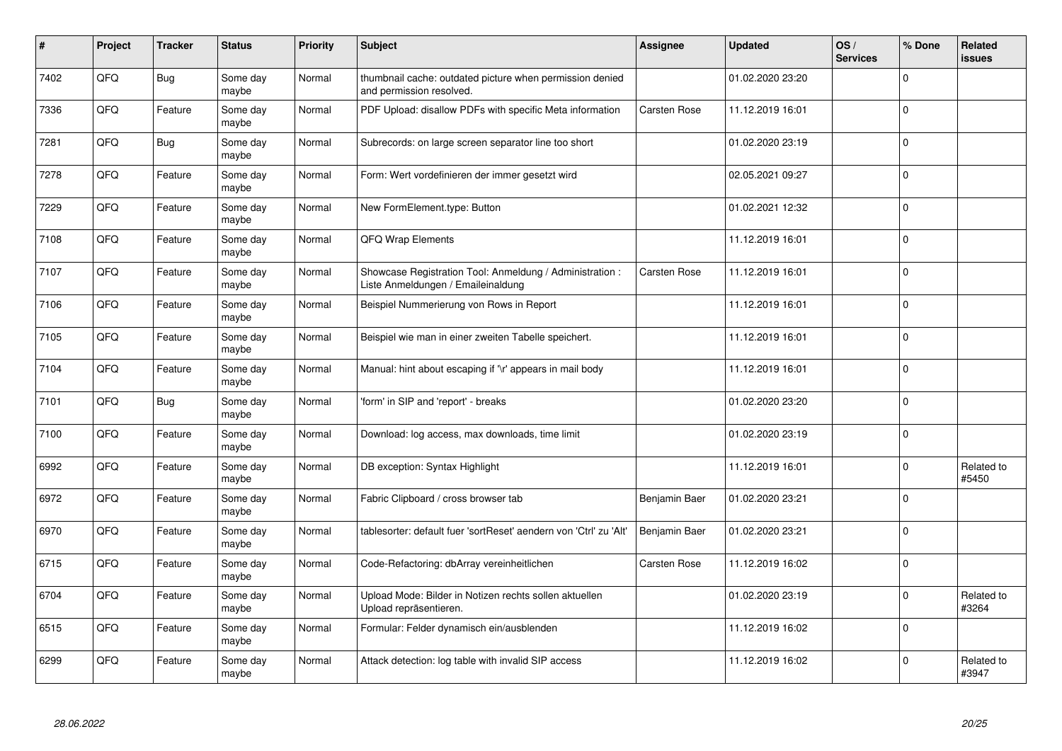| #    | Project | <b>Tracker</b> | <b>Status</b>     | <b>Priority</b> | Subject                                                                                        | Assignee      | <b>Updated</b>   | OS/<br><b>Services</b> | % Done      | Related<br><b>issues</b> |
|------|---------|----------------|-------------------|-----------------|------------------------------------------------------------------------------------------------|---------------|------------------|------------------------|-------------|--------------------------|
| 7402 | QFQ     | <b>Bug</b>     | Some day<br>maybe | Normal          | thumbnail cache: outdated picture when permission denied<br>and permission resolved.           |               | 01.02.2020 23:20 |                        | $\Omega$    |                          |
| 7336 | QFQ     | Feature        | Some day<br>maybe | Normal          | PDF Upload: disallow PDFs with specific Meta information                                       | Carsten Rose  | 11.12.2019 16:01 |                        | $\Omega$    |                          |
| 7281 | QFQ     | Bug            | Some day<br>maybe | Normal          | Subrecords: on large screen separator line too short                                           |               | 01.02.2020 23:19 |                        | $\mathbf 0$ |                          |
| 7278 | QFQ     | Feature        | Some day<br>maybe | Normal          | Form: Wert vordefinieren der immer gesetzt wird                                                |               | 02.05.2021 09:27 |                        | $\mathbf 0$ |                          |
| 7229 | QFQ     | Feature        | Some day<br>maybe | Normal          | New FormElement.type: Button                                                                   |               | 01.02.2021 12:32 |                        | $\Omega$    |                          |
| 7108 | QFQ     | Feature        | Some day<br>maybe | Normal          | <b>QFQ Wrap Elements</b>                                                                       |               | 11.12.2019 16:01 |                        | $\mathbf 0$ |                          |
| 7107 | QFQ     | Feature        | Some day<br>maybe | Normal          | Showcase Registration Tool: Anmeldung / Administration :<br>Liste Anmeldungen / Emaileinaldung | Carsten Rose  | 11.12.2019 16:01 |                        | $\mathbf 0$ |                          |
| 7106 | QFQ     | Feature        | Some day<br>maybe | Normal          | Beispiel Nummerierung von Rows in Report                                                       |               | 11.12.2019 16:01 |                        | $\mathbf 0$ |                          |
| 7105 | QFQ     | Feature        | Some day<br>maybe | Normal          | Beispiel wie man in einer zweiten Tabelle speichert.                                           |               | 11.12.2019 16:01 |                        | $\Omega$    |                          |
| 7104 | QFQ     | Feature        | Some day<br>maybe | Normal          | Manual: hint about escaping if '\r' appears in mail body                                       |               | 11.12.2019 16:01 |                        | $\mathbf 0$ |                          |
| 7101 | QFQ     | <b>Bug</b>     | Some day<br>maybe | Normal          | 'form' in SIP and 'report' - breaks                                                            |               | 01.02.2020 23:20 |                        | $\mathbf 0$ |                          |
| 7100 | QFQ     | Feature        | Some day<br>maybe | Normal          | Download: log access, max downloads, time limit                                                |               | 01.02.2020 23:19 |                        | $\mathbf 0$ |                          |
| 6992 | QFQ     | Feature        | Some day<br>maybe | Normal          | DB exception: Syntax Highlight                                                                 |               | 11.12.2019 16:01 |                        | $\mathbf 0$ | Related to<br>#5450      |
| 6972 | QFQ     | Feature        | Some day<br>maybe | Normal          | Fabric Clipboard / cross browser tab                                                           | Benjamin Baer | 01.02.2020 23:21 |                        | $\mathbf 0$ |                          |
| 6970 | QFQ     | Feature        | Some day<br>maybe | Normal          | tablesorter: default fuer 'sortReset' aendern von 'Ctrl' zu 'Alt'                              | Benjamin Baer | 01.02.2020 23:21 |                        | $\Omega$    |                          |
| 6715 | QFQ     | Feature        | Some day<br>maybe | Normal          | Code-Refactoring: dbArray vereinheitlichen                                                     | Carsten Rose  | 11.12.2019 16:02 |                        | $\mathbf 0$ |                          |
| 6704 | QFQ     | Feature        | Some day<br>maybe | Normal          | Upload Mode: Bilder in Notizen rechts sollen aktuellen<br>Upload repräsentieren.               |               | 01.02.2020 23:19 |                        | $\Omega$    | Related to<br>#3264      |
| 6515 | QFQ     | Feature        | Some day<br>maybe | Normal          | Formular: Felder dynamisch ein/ausblenden                                                      |               | 11.12.2019 16:02 |                        | $\mathbf 0$ |                          |
| 6299 | QFQ     | Feature        | Some day<br>maybe | Normal          | Attack detection: log table with invalid SIP access                                            |               | 11.12.2019 16:02 |                        | $\Omega$    | Related to<br>#3947      |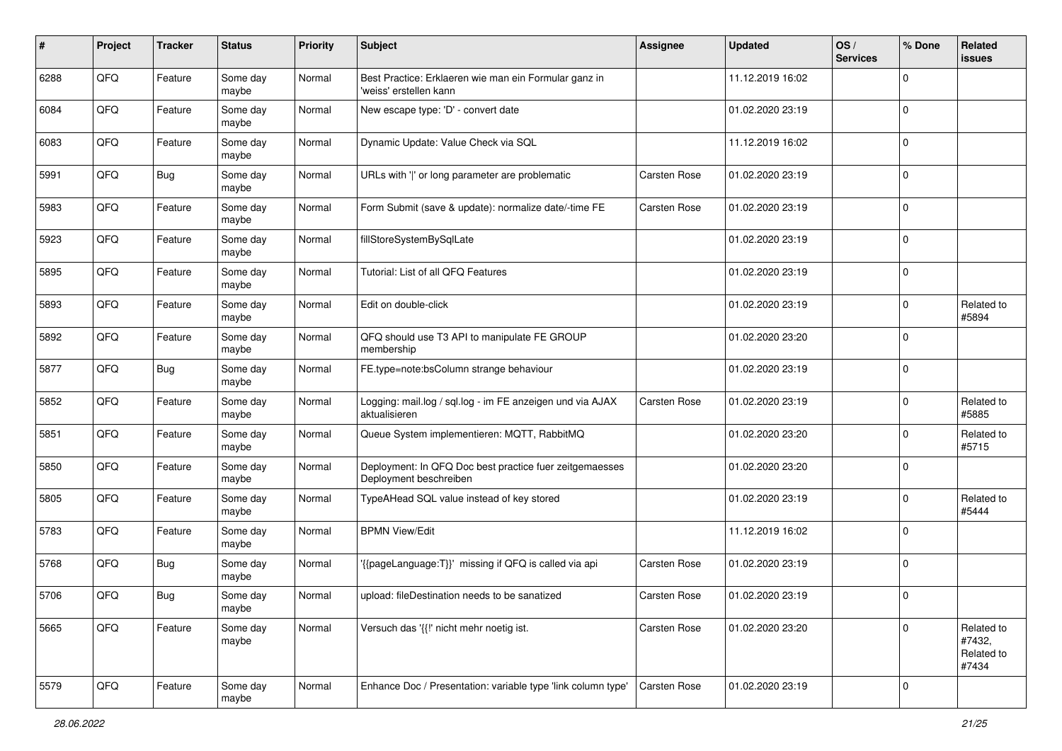| #    | Project | <b>Tracker</b> | <b>Status</b>     | <b>Priority</b> | <b>Subject</b>                                                                    | <b>Assignee</b> | <b>Updated</b>   | OS/<br><b>Services</b> | % Done       | Related<br><b>issues</b>                    |
|------|---------|----------------|-------------------|-----------------|-----------------------------------------------------------------------------------|-----------------|------------------|------------------------|--------------|---------------------------------------------|
| 6288 | QFQ     | Feature        | Some day<br>maybe | Normal          | Best Practice: Erklaeren wie man ein Formular ganz in<br>'weiss' erstellen kann   |                 | 11.12.2019 16:02 |                        | $\mathbf 0$  |                                             |
| 6084 | QFQ     | Feature        | Some day<br>maybe | Normal          | New escape type: 'D' - convert date                                               |                 | 01.02.2020 23:19 |                        | $\mathbf 0$  |                                             |
| 6083 | QFQ     | Feature        | Some day<br>maybe | Normal          | Dynamic Update: Value Check via SQL                                               |                 | 11.12.2019 16:02 |                        | $\Omega$     |                                             |
| 5991 | QFQ     | <b>Bug</b>     | Some day<br>maybe | Normal          | URLs with ' ' or long parameter are problematic                                   | Carsten Rose    | 01.02.2020 23:19 |                        | $\mathbf 0$  |                                             |
| 5983 | QFQ     | Feature        | Some day<br>maybe | Normal          | Form Submit (save & update): normalize date/-time FE                              | Carsten Rose    | 01.02.2020 23:19 |                        | $\mathbf{0}$ |                                             |
| 5923 | QFQ     | Feature        | Some day<br>maybe | Normal          | fillStoreSystemBySqlLate                                                          |                 | 01.02.2020 23:19 |                        | $\Omega$     |                                             |
| 5895 | QFQ     | Feature        | Some day<br>maybe | Normal          | Tutorial: List of all QFQ Features                                                |                 | 01.02.2020 23:19 |                        | $\mathbf 0$  |                                             |
| 5893 | QFQ     | Feature        | Some day<br>maybe | Normal          | Edit on double-click                                                              |                 | 01.02.2020 23:19 |                        | $\mathbf 0$  | Related to<br>#5894                         |
| 5892 | QFQ     | Feature        | Some day<br>maybe | Normal          | QFQ should use T3 API to manipulate FE GROUP<br>membership                        |                 | 01.02.2020 23:20 |                        | $\mathbf{0}$ |                                             |
| 5877 | QFQ     | <b>Bug</b>     | Some day<br>maybe | Normal          | FE.type=note:bsColumn strange behaviour                                           |                 | 01.02.2020 23:19 |                        | $\mathbf 0$  |                                             |
| 5852 | QFQ     | Feature        | Some day<br>maybe | Normal          | Logging: mail.log / sql.log - im FE anzeigen und via AJAX<br>aktualisieren        | Carsten Rose    | 01.02.2020 23:19 |                        | $\mathbf 0$  | Related to<br>#5885                         |
| 5851 | QFQ     | Feature        | Some day<br>maybe | Normal          | Queue System implementieren: MQTT, RabbitMQ                                       |                 | 01.02.2020 23:20 |                        | $\mathbf{0}$ | Related to<br>#5715                         |
| 5850 | QFQ     | Feature        | Some day<br>maybe | Normal          | Deployment: In QFQ Doc best practice fuer zeitgemaesses<br>Deployment beschreiben |                 | 01.02.2020 23:20 |                        | $\mathbf 0$  |                                             |
| 5805 | QFQ     | Feature        | Some day<br>maybe | Normal          | TypeAHead SQL value instead of key stored                                         |                 | 01.02.2020 23:19 |                        | $\mathbf 0$  | Related to<br>#5444                         |
| 5783 | QFQ     | Feature        | Some day<br>maybe | Normal          | <b>BPMN View/Edit</b>                                                             |                 | 11.12.2019 16:02 |                        | $\mathbf{0}$ |                                             |
| 5768 | QFQ     | Bug            | Some day<br>maybe | Normal          | '{{pageLanguage:T}}' missing if QFQ is called via api                             | Carsten Rose    | 01.02.2020 23:19 |                        | $\mathbf 0$  |                                             |
| 5706 | QFQ     | Bug            | Some day<br>maybe | Normal          | upload: fileDestination needs to be sanatized                                     | Carsten Rose    | 01.02.2020 23:19 |                        | $\mathbf{0}$ |                                             |
| 5665 | QFQ     | Feature        | Some day<br>maybe | Normal          | Versuch das '{{!' nicht mehr noetig ist.                                          | Carsten Rose    | 01.02.2020 23:20 |                        | $\mathbf 0$  | Related to<br>#7432,<br>Related to<br>#7434 |
| 5579 | QFQ     | Feature        | Some day<br>maybe | Normal          | Enhance Doc / Presentation: variable type 'link column type'                      | Carsten Rose    | 01.02.2020 23:19 |                        | $\mathbf 0$  |                                             |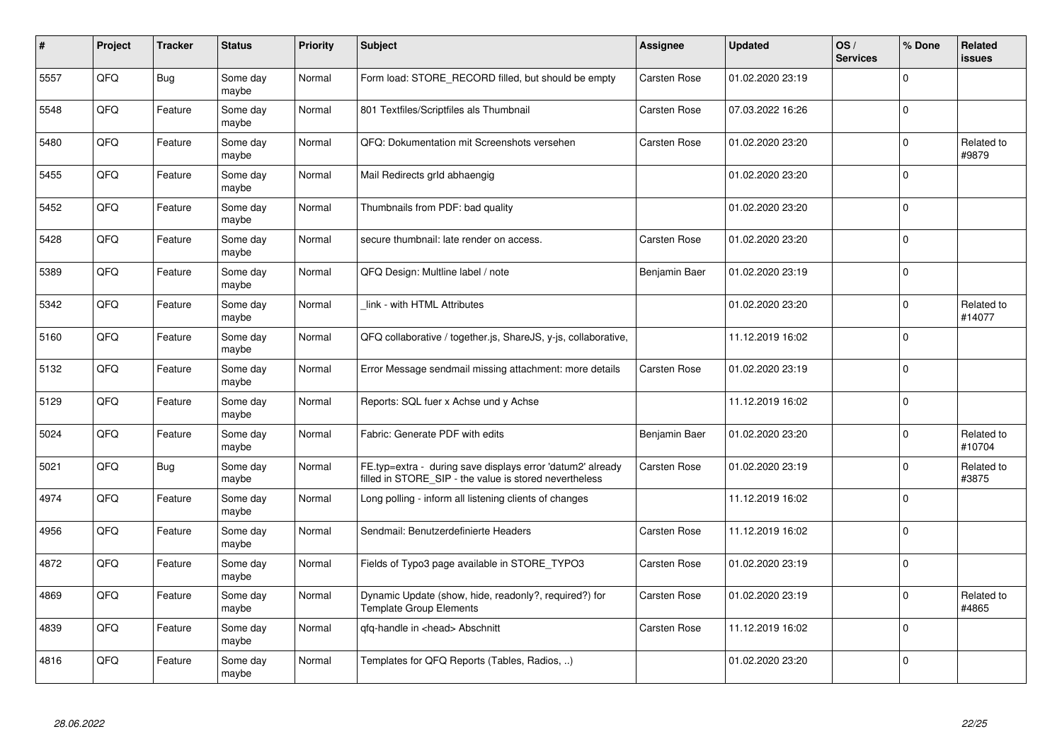| #    | Project | <b>Tracker</b> | <b>Status</b>     | <b>Priority</b> | <b>Subject</b>                                                                                                       | Assignee      | <b>Updated</b>   | OS/<br><b>Services</b> | % Done       | Related<br><b>issues</b> |
|------|---------|----------------|-------------------|-----------------|----------------------------------------------------------------------------------------------------------------------|---------------|------------------|------------------------|--------------|--------------------------|
| 5557 | QFQ     | Bug            | Some day<br>maybe | Normal          | Form load: STORE_RECORD filled, but should be empty                                                                  | Carsten Rose  | 01.02.2020 23:19 |                        | $\Omega$     |                          |
| 5548 | QFQ     | Feature        | Some day<br>maybe | Normal          | 801 Textfiles/Scriptfiles als Thumbnail                                                                              | Carsten Rose  | 07.03.2022 16:26 |                        | $\Omega$     |                          |
| 5480 | QFQ     | Feature        | Some day<br>maybe | Normal          | QFQ: Dokumentation mit Screenshots versehen                                                                          | Carsten Rose  | 01.02.2020 23:20 |                        | $\pmb{0}$    | Related to<br>#9879      |
| 5455 | QFQ     | Feature        | Some day<br>maybe | Normal          | Mail Redirects grld abhaengig                                                                                        |               | 01.02.2020 23:20 |                        | $\Omega$     |                          |
| 5452 | QFQ     | Feature        | Some day<br>maybe | Normal          | Thumbnails from PDF: bad quality                                                                                     |               | 01.02.2020 23:20 |                        | $\mathbf 0$  |                          |
| 5428 | QFQ     | Feature        | Some dav<br>maybe | Normal          | secure thumbnail: late render on access.                                                                             | Carsten Rose  | 01.02.2020 23:20 |                        | $\pmb{0}$    |                          |
| 5389 | QFQ     | Feature        | Some day<br>maybe | Normal          | QFQ Design: Multline label / note                                                                                    | Benjamin Baer | 01.02.2020 23:19 |                        | $\mathbf 0$  |                          |
| 5342 | QFQ     | Feature        | Some day<br>maybe | Normal          | link - with HTML Attributes                                                                                          |               | 01.02.2020 23:20 |                        | $\Omega$     | Related to<br>#14077     |
| 5160 | QFQ     | Feature        | Some day<br>maybe | Normal          | QFQ collaborative / together.js, ShareJS, y-js, collaborative,                                                       |               | 11.12.2019 16:02 |                        | $\mathbf 0$  |                          |
| 5132 | QFQ     | Feature        | Some day<br>maybe | Normal          | Error Message sendmail missing attachment: more details                                                              | Carsten Rose  | 01.02.2020 23:19 |                        | $\mathbf{0}$ |                          |
| 5129 | QFQ     | Feature        | Some day<br>maybe | Normal          | Reports: SQL fuer x Achse und y Achse                                                                                |               | 11.12.2019 16:02 |                        | $\pmb{0}$    |                          |
| 5024 | QFQ     | Feature        | Some day<br>maybe | Normal          | Fabric: Generate PDF with edits                                                                                      | Benjamin Baer | 01.02.2020 23:20 |                        | $\Omega$     | Related to<br>#10704     |
| 5021 | QFQ     | Bug            | Some day<br>maybe | Normal          | FE.typ=extra - during save displays error 'datum2' already<br>filled in STORE_SIP - the value is stored nevertheless | Carsten Rose  | 01.02.2020 23:19 |                        | $\mathbf 0$  | Related to<br>#3875      |
| 4974 | QFQ     | Feature        | Some day<br>maybe | Normal          | Long polling - inform all listening clients of changes                                                               |               | 11.12.2019 16:02 |                        | $\pmb{0}$    |                          |
| 4956 | QFQ     | Feature        | Some day<br>maybe | Normal          | Sendmail: Benutzerdefinierte Headers                                                                                 | Carsten Rose  | 11.12.2019 16:02 |                        | $\Omega$     |                          |
| 4872 | QFQ     | Feature        | Some day<br>maybe | Normal          | Fields of Typo3 page available in STORE TYPO3                                                                        | Carsten Rose  | 01.02.2020 23:19 |                        | $\mathbf 0$  |                          |
| 4869 | QFQ     | Feature        | Some day<br>maybe | Normal          | Dynamic Update (show, hide, readonly?, required?) for<br><b>Template Group Elements</b>                              | Carsten Rose  | 01.02.2020 23:19 |                        | $\pmb{0}$    | Related to<br>#4865      |
| 4839 | QFQ     | Feature        | Some day<br>maybe | Normal          | gfg-handle in <head> Abschnitt</head>                                                                                | Carsten Rose  | 11.12.2019 16:02 |                        | $\mathbf 0$  |                          |
| 4816 | QFQ     | Feature        | Some day<br>maybe | Normal          | Templates for QFQ Reports (Tables, Radios, )                                                                         |               | 01.02.2020 23:20 |                        | $\Omega$     |                          |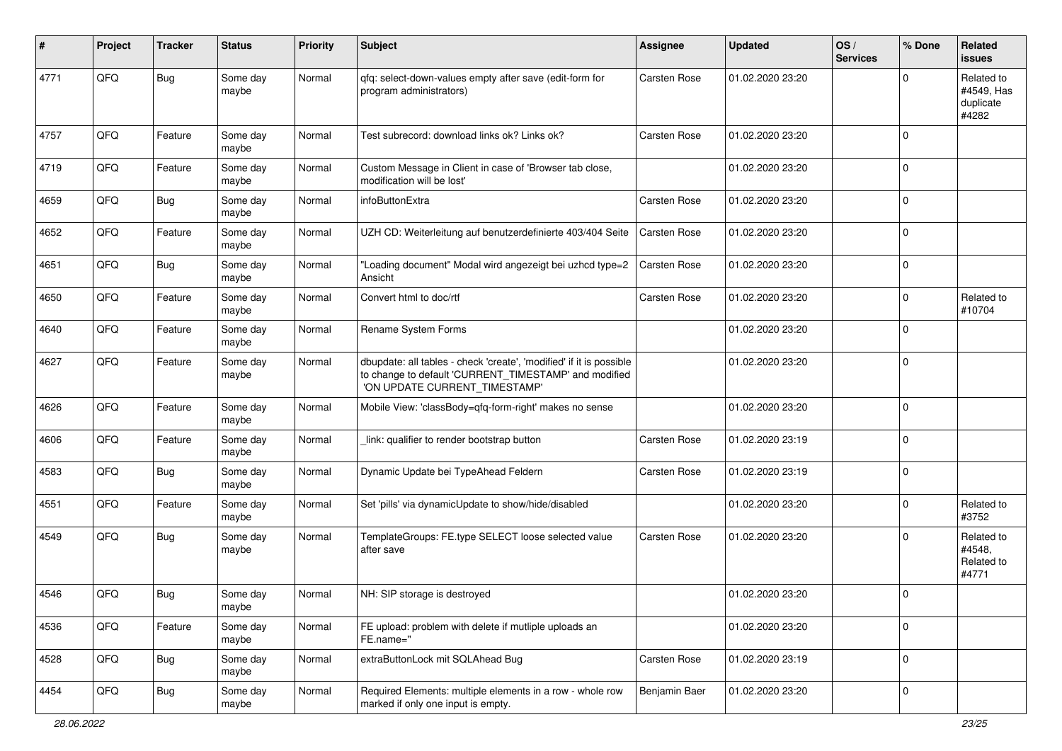| #    | Project | <b>Tracker</b> | <b>Status</b>     | <b>Priority</b> | <b>Subject</b>                                                                                                                                                | <b>Assignee</b> | <b>Updated</b>   | OS/<br><b>Services</b> | % Done      | Related<br><b>issues</b>                       |
|------|---------|----------------|-------------------|-----------------|---------------------------------------------------------------------------------------------------------------------------------------------------------------|-----------------|------------------|------------------------|-------------|------------------------------------------------|
| 4771 | QFQ     | Bug            | Some day<br>maybe | Normal          | qfq: select-down-values empty after save (edit-form for<br>program administrators)                                                                            | Carsten Rose    | 01.02.2020 23:20 |                        | $\Omega$    | Related to<br>#4549, Has<br>duplicate<br>#4282 |
| 4757 | QFQ     | Feature        | Some day<br>maybe | Normal          | Test subrecord: download links ok? Links ok?                                                                                                                  | Carsten Rose    | 01.02.2020 23:20 |                        | $\Omega$    |                                                |
| 4719 | QFQ     | Feature        | Some day<br>maybe | Normal          | Custom Message in Client in case of 'Browser tab close,<br>modification will be lost'                                                                         |                 | 01.02.2020 23:20 |                        | $\Omega$    |                                                |
| 4659 | QFQ     | Bug            | Some day<br>maybe | Normal          | infoButtonExtra                                                                                                                                               | Carsten Rose    | 01.02.2020 23:20 |                        | $\Omega$    |                                                |
| 4652 | QFQ     | Feature        | Some day<br>maybe | Normal          | UZH CD: Weiterleitung auf benutzerdefinierte 403/404 Seite                                                                                                    | Carsten Rose    | 01.02.2020 23:20 |                        | $\Omega$    |                                                |
| 4651 | QFQ     | <b>Bug</b>     | Some day<br>maybe | Normal          | "Loading document" Modal wird angezeigt bei uzhcd type=2<br>Ansicht                                                                                           | Carsten Rose    | 01.02.2020 23:20 |                        | $\Omega$    |                                                |
| 4650 | QFQ     | Feature        | Some day<br>maybe | Normal          | Convert html to doc/rtf                                                                                                                                       | Carsten Rose    | 01.02.2020 23:20 |                        | $\Omega$    | Related to<br>#10704                           |
| 4640 | QFQ     | Feature        | Some day<br>maybe | Normal          | Rename System Forms                                                                                                                                           |                 | 01.02.2020 23:20 |                        | $\Omega$    |                                                |
| 4627 | QFQ     | Feature        | Some day<br>maybe | Normal          | dbupdate: all tables - check 'create', 'modified' if it is possible<br>to change to default 'CURRENT_TIMESTAMP' and modified<br>'ON UPDATE CURRENT_TIMESTAMP' |                 | 01.02.2020 23:20 |                        | $\Omega$    |                                                |
| 4626 | QFQ     | Feature        | Some day<br>maybe | Normal          | Mobile View: 'classBody=qfq-form-right' makes no sense                                                                                                        |                 | 01.02.2020 23:20 |                        | $\Omega$    |                                                |
| 4606 | QFQ     | Feature        | Some day<br>maybe | Normal          | link: qualifier to render bootstrap button                                                                                                                    | Carsten Rose    | 01.02.2020 23:19 |                        | $\mathbf 0$ |                                                |
| 4583 | QFQ     | <b>Bug</b>     | Some day<br>maybe | Normal          | Dynamic Update bei TypeAhead Feldern                                                                                                                          | Carsten Rose    | 01.02.2020 23:19 |                        | $\mathbf 0$ |                                                |
| 4551 | QFQ     | Feature        | Some day<br>maybe | Normal          | Set 'pills' via dynamicUpdate to show/hide/disabled                                                                                                           |                 | 01.02.2020 23:20 |                        | $\Omega$    | Related to<br>#3752                            |
| 4549 | QFQ     | Bug            | Some day<br>maybe | Normal          | TemplateGroups: FE.type SELECT loose selected value<br>after save                                                                                             | Carsten Rose    | 01.02.2020 23:20 |                        | $\Omega$    | Related to<br>#4548,<br>Related to<br>#4771    |
| 4546 | QFQ     | Bug            | Some day<br>maybe | Normal          | NH: SIP storage is destroyed                                                                                                                                  |                 | 01.02.2020 23:20 |                        | 0           |                                                |
| 4536 | QFO     | Feature        | Some day<br>maybe | Normal          | FE upload: problem with delete if mutliple uploads an<br>FE.name="                                                                                            |                 | 01.02.2020 23:20 |                        | 0           |                                                |
| 4528 | QFG     | Bug            | Some day<br>maybe | Normal          | extraButtonLock mit SQLAhead Bug                                                                                                                              | Carsten Rose    | 01.02.2020 23:19 |                        | $\pmb{0}$   |                                                |
| 4454 | QFO     | <b>Bug</b>     | Some day<br>maybe | Normal          | Required Elements: multiple elements in a row - whole row<br>marked if only one input is empty.                                                               | Benjamin Baer   | 01.02.2020 23:20 |                        | 0           |                                                |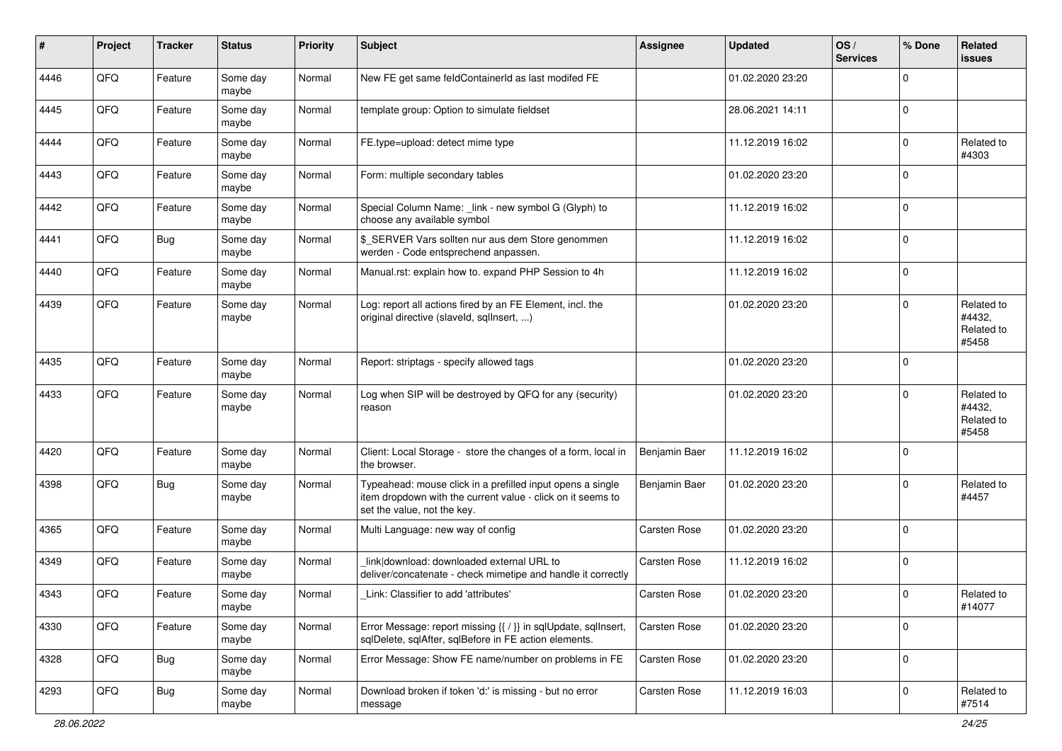| $\sharp$ | Project | <b>Tracker</b> | <b>Status</b>     | <b>Priority</b> | <b>Subject</b>                                                                                                                                           | <b>Assignee</b> | <b>Updated</b>   | OS/<br><b>Services</b> | % Done       | Related<br><b>issues</b>                    |
|----------|---------|----------------|-------------------|-----------------|----------------------------------------------------------------------------------------------------------------------------------------------------------|-----------------|------------------|------------------------|--------------|---------------------------------------------|
| 4446     | QFQ     | Feature        | Some day<br>maybe | Normal          | New FE get same feldContainerId as last modifed FE                                                                                                       |                 | 01.02.2020 23:20 |                        | $\Omega$     |                                             |
| 4445     | QFQ     | Feature        | Some day<br>maybe | Normal          | template group: Option to simulate fieldset                                                                                                              |                 | 28.06.2021 14:11 |                        | $\mathbf{0}$ |                                             |
| 4444     | QFQ     | Feature        | Some day<br>maybe | Normal          | FE.type=upload: detect mime type                                                                                                                         |                 | 11.12.2019 16:02 |                        | $\mathbf 0$  | Related to<br>#4303                         |
| 4443     | QFQ     | Feature        | Some day<br>maybe | Normal          | Form: multiple secondary tables                                                                                                                          |                 | 01.02.2020 23:20 |                        | $\mathbf 0$  |                                             |
| 4442     | QFQ     | Feature        | Some day<br>maybe | Normal          | Special Column Name: _link - new symbol G (Glyph) to<br>choose any available symbol                                                                      |                 | 11.12.2019 16:02 |                        | $\mathbf 0$  |                                             |
| 4441     | QFQ     | <b>Bug</b>     | Some day<br>maybe | Normal          | \$ SERVER Vars sollten nur aus dem Store genommen<br>werden - Code entsprechend anpassen.                                                                |                 | 11.12.2019 16:02 |                        | $\mathbf 0$  |                                             |
| 4440     | QFQ     | Feature        | Some day<br>maybe | Normal          | Manual.rst: explain how to. expand PHP Session to 4h                                                                                                     |                 | 11.12.2019 16:02 |                        | $\mathbf 0$  |                                             |
| 4439     | QFQ     | Feature        | Some day<br>maybe | Normal          | Log: report all actions fired by an FE Element, incl. the<br>original directive (slaveld, sqllnsert, )                                                   |                 | 01.02.2020 23:20 |                        | $\Omega$     | Related to<br>#4432.<br>Related to<br>#5458 |
| 4435     | QFQ     | Feature        | Some day<br>maybe | Normal          | Report: striptags - specify allowed tags                                                                                                                 |                 | 01.02.2020 23:20 |                        | $\Omega$     |                                             |
| 4433     | QFQ     | Feature        | Some day<br>maybe | Normal          | Log when SIP will be destroyed by QFQ for any (security)<br>reason                                                                                       |                 | 01.02.2020 23:20 |                        | $\Omega$     | Related to<br>#4432,<br>Related to<br>#5458 |
| 4420     | QFQ     | Feature        | Some day<br>maybe | Normal          | Client: Local Storage - store the changes of a form, local in<br>the browser.                                                                            | Benjamin Baer   | 11.12.2019 16:02 |                        | $\mathbf 0$  |                                             |
| 4398     | QFQ     | <b>Bug</b>     | Some day<br>maybe | Normal          | Typeahead: mouse click in a prefilled input opens a single<br>item dropdown with the current value - click on it seems to<br>set the value, not the key. | Benjamin Baer   | 01.02.2020 23:20 |                        | $\mathbf 0$  | Related to<br>#4457                         |
| 4365     | QFQ     | Feature        | Some day<br>maybe | Normal          | Multi Language: new way of config                                                                                                                        | Carsten Rose    | 01.02.2020 23:20 |                        | $\mathbf 0$  |                                             |
| 4349     | QFQ     | Feature        | Some day<br>maybe | Normal          | link download: downloaded external URL to<br>deliver/concatenate - check mimetipe and handle it correctly                                                | Carsten Rose    | 11.12.2019 16:02 |                        | $\Omega$     |                                             |
| 4343     | QFQ     | Feature        | Some day<br>maybe | Normal          | Link: Classifier to add 'attributes'                                                                                                                     | Carsten Rose    | 01.02.2020 23:20 |                        | $\mathbf 0$  | Related to<br>#14077                        |
| 4330     | QFQ     | Feature        | Some day<br>maybe | Normal          | Error Message: report missing {{ / }} in sqlUpdate, sqlInsert,<br>sqlDelete, sqlAfter, sqlBefore in FE action elements.                                  | Carsten Rose    | 01.02.2020 23:20 |                        | $\mathbf 0$  |                                             |
| 4328     | QFQ     | <b>Bug</b>     | Some day<br>maybe | Normal          | Error Message: Show FE name/number on problems in FE                                                                                                     | Carsten Rose    | 01.02.2020 23:20 |                        | $\mathbf 0$  |                                             |
| 4293     | QFQ     | <b>Bug</b>     | Some day<br>maybe | Normal          | Download broken if token 'd:' is missing - but no error<br>message                                                                                       | Carsten Rose    | 11.12.2019 16:03 |                        | $\mathbf 0$  | Related to<br>#7514                         |